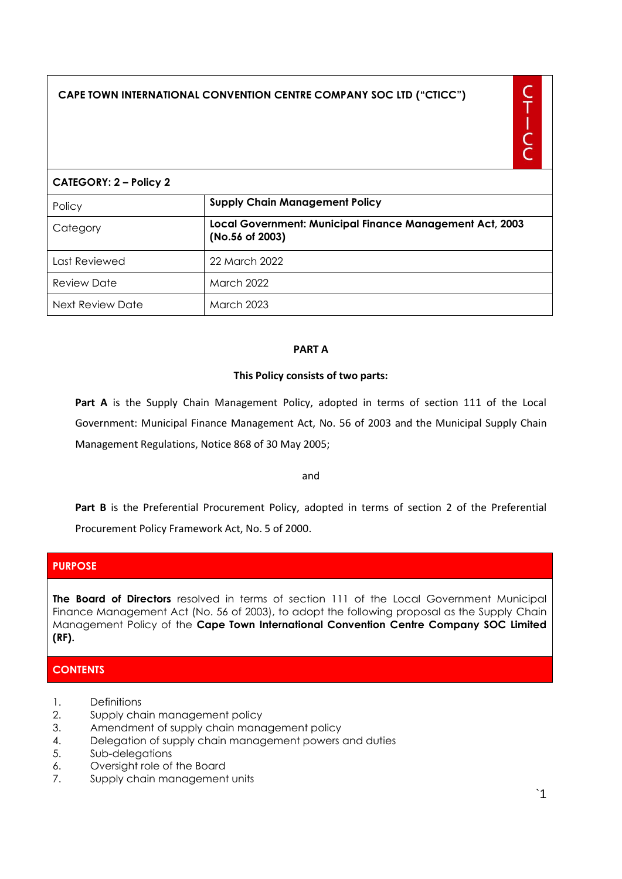## **CAPE TOWN INTERNATIONAL CONVENTION CENTRE COMPANY SOC LTD ("CTICC")**

#### **CATEGORY: 2 – Policy 2**

| Policy           | <b>Supply Chain Management Policy</b>                                       |
|------------------|-----------------------------------------------------------------------------|
| Category         | Local Government: Municipal Finance Management Act, 2003<br>(No.56 of 2003) |
| Last Reviewed    | 22 March 2022                                                               |
| Review Date      | March 2022                                                                  |
| Next Review Date | March 2023                                                                  |

## **PART A**

#### **This Policy consists of two parts:**

Part A is the Supply Chain Management Policy, adopted in terms of section 111 of the Local Government: Municipal Finance Management Act, No. 56 of 2003 and the Municipal Supply Chain Management Regulations, Notice 868 of 30 May 2005;

#### and

Part B is the Preferential Procurement Policy, adopted in terms of section 2 of the Preferential Procurement Policy Framework Act, No. 5 of 2000.

## **PURPOSE**

**The Board of Directors** resolved in terms of section 111 of the Local Government Municipal Finance Management Act (No. 56 of 2003), to adopt the following proposal as the Supply Chain Management Policy of the **Cape Town International Convention Centre Company SOC Limited (RF).**

## **CONTENTS**

- 1. Definitions
- 2. Supply chain management policy
- 3. Amendment of supply chain management policy
- 4. Delegation of supply chain management powers and duties
- 5. Sub-delegations
- 6. Oversight role of the Board
- 7. Supply chain management units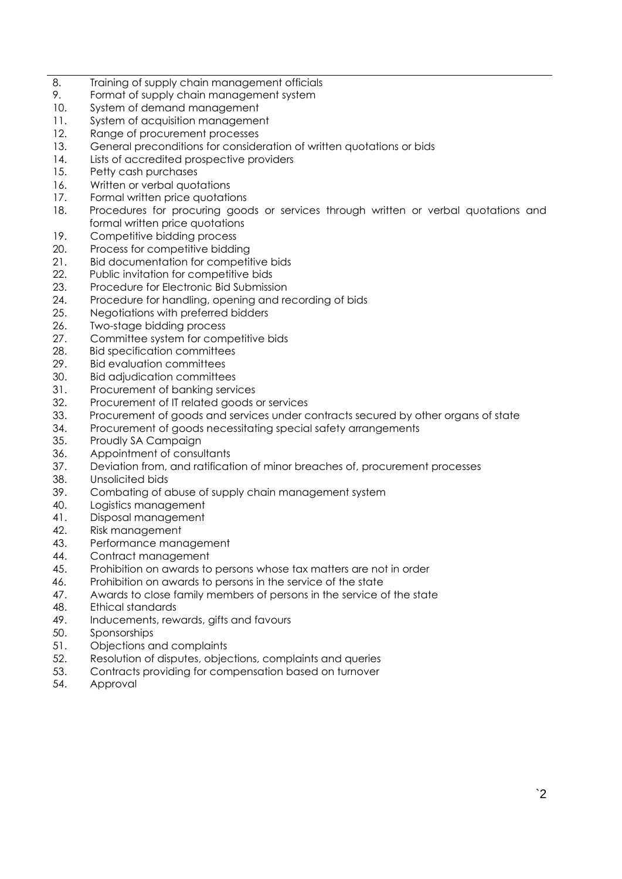- 8. Training of supply chain management officials
- 9. Format of supply chain management system
- 10. System of demand management
- 11. System of acquisition management
- 12. Range of procurement processes
- 13. General preconditions for consideration of written quotations or bids
- 14. Lists of accredited prospective providers
- 15. Petty cash purchases
- 16. Written or verbal quotations
- 17. Formal written price quotations
- 18. Procedures for procuring goods or services through written or verbal quotations and formal written price quotations
- 19. Competitive bidding process
- 20. Process for competitive bidding
- 21. Bid documentation for competitive bids
- 22. Public invitation for competitive bids
- 23. Procedure for Electronic Bid Submission
- 24. Procedure for handling, opening and recording of bids
- 25. Negotiations with preferred bidders
- 26. Two-stage bidding process
- 27. Committee system for competitive bids
- 28. Bid specification committees
- 29. Bid evaluation committees
- 30. Bid adjudication committees
- 31. Procurement of banking services
- 32. Procurement of IT related goods or services
- 33. Procurement of goods and services under contracts secured by other organs of state
- 34. Procurement of goods necessitating special safety arrangements
- 35. Proudly SA Campaign
- 36. Appointment of consultants
- 37. Deviation from, and ratification of minor breaches of, procurement processes
- 38. Unsolicited bids
- 39. Combating of abuse of supply chain management system
- 40. Logistics management
- 41. Disposal management
- 42. Risk management
- 43. Performance management
- 44. Contract management
- 45. Prohibition on awards to persons whose tax matters are not in order
- 46. Prohibition on awards to persons in the service of the state
- 47. Awards to close family members of persons in the service of the state
- 48. Ethical standards
- 49. Inducements, rewards, gifts and favours
- 50. Sponsorships
- 51. Objections and complaints
- 52. Resolution of disputes, objections, complaints and queries
- 53. Contracts providing for compensation based on turnover
- 54. Approval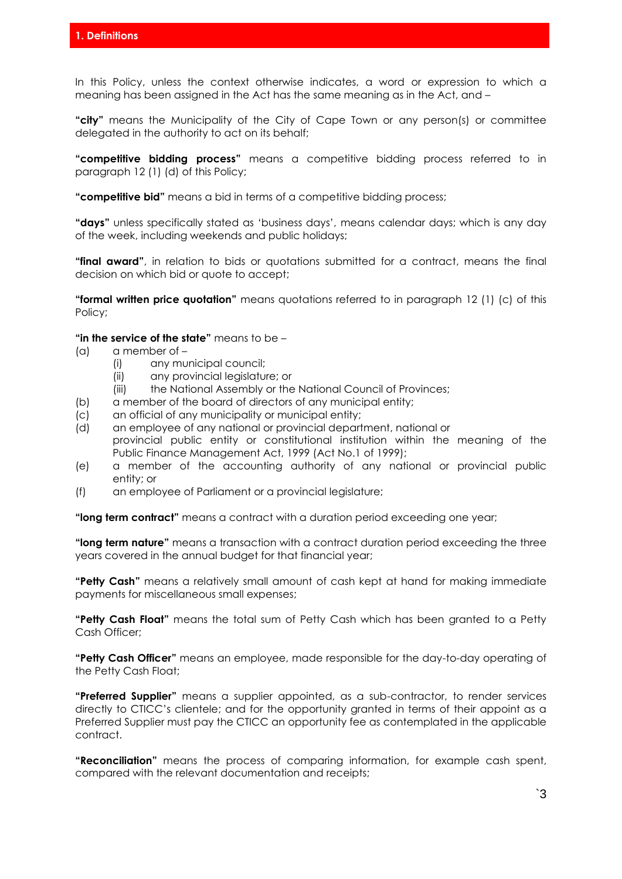In this Policy, unless the context otherwise indicates, a word or expression to which a meaning has been assigned in the Act has the same meaning as in the Act, and –

**"city"** means the Municipality of the City of Cape Town or any person(s) or committee delegated in the authority to act on its behalf;

**"competitive bidding process"** means a competitive bidding process referred to in paragraph 12 (1) (d) of this Policy;

**"competitive bid"** means a bid in terms of a competitive bidding process;

**"days"** unless specifically stated as 'business days', means calendar days; which is any day of the week, including weekends and public holidays;

**"final award"**, in relation to bids or quotations submitted for a contract, means the final decision on which bid or quote to accept;

**"formal written price quotation"** means quotations referred to in paragraph 12 (1) (c) of this Policy;

#### **"in the service of the state"** means to be –

- (a) a member of
	- (i) any municipal council;
	- (ii) any provincial legislature; or
	- (iii) the National Assembly or the National Council of Provinces;
- (b) a member of the board of directors of any municipal entity;
- (c) an official of any municipality or municipal entity;
- (d) an employee of any national or provincial department, national or
- provincial public entity or constitutional institution within the meaning of the Public Finance Management Act, 1999 (Act No.1 of 1999);
- (e) a member of the accounting authority of any national or provincial public entity; or
- (f) an employee of Parliament or a provincial legislature;

**"long term contract"** means a contract with a duration period exceeding one year;

**"long term nature"** means a transaction with a contract duration period exceeding the three years covered in the annual budget for that financial year;

**"Petty Cash"** means a relatively small amount of cash kept at hand for making immediate payments for miscellaneous small expenses;

**"Petty Cash Float"** means the total sum of Petty Cash which has been granted to a Petty Cash Officer;

**"Petty Cash Officer"** means an employee, made responsible for the day-to-day operating of the Petty Cash Float;

**"Preferred Supplier"** means a supplier appointed, as a sub-contractor, to render services directly to CTICC's clientele; and for the opportunity granted in terms of their appoint as a Preferred Supplier must pay the CTICC an opportunity fee as contemplated in the applicable contract.

**"Reconciliation"** means the process of comparing information, for example cash spent, compared with the relevant documentation and receipts;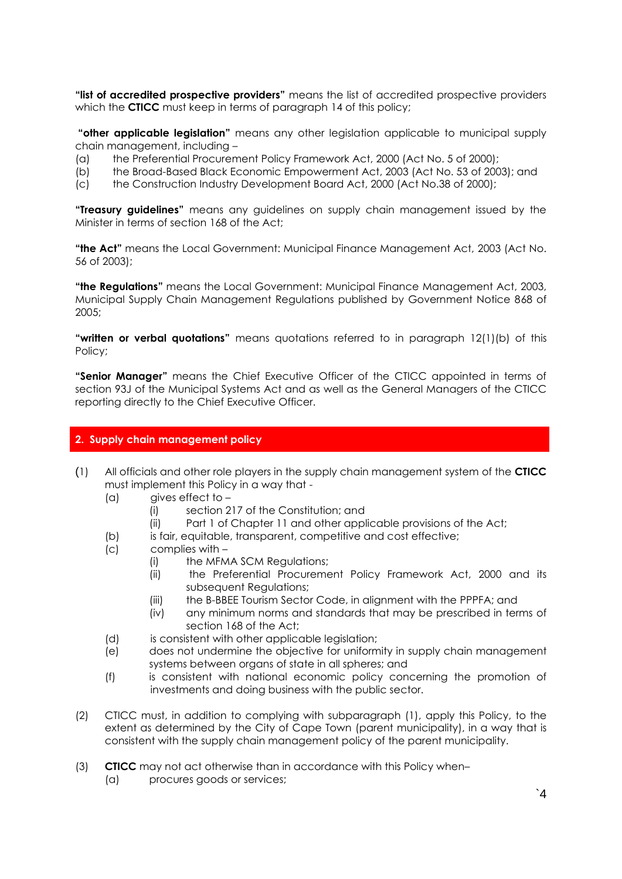**"list of accredited prospective providers"** means the list of accredited prospective providers which the **CTICC** must keep in terms of paragraph 14 of this policy;

**"other applicable legislation"** means any other legislation applicable to municipal supply chain management, including –

- (a) the Preferential Procurement Policy Framework Act, 2000 (Act No. 5 of 2000);
- (b) the Broad-Based Black Economic Empowerment Act, 2003 (Act No. 53 of 2003); and
- (c) the Construction Industry Development Board Act, 2000 (Act No.38 of 2000);

**"Treasury guidelines"** means any guidelines on supply chain management issued by the Minister in terms of section 168 of the Act;

**"the Act"** means the Local Government: Municipal Finance Management Act, 2003 (Act No. 56 of 2003);

**"the Regulations"** means the Local Government: Municipal Finance Management Act, 2003, Municipal Supply Chain Management Regulations published by Government Notice 868 of 2005;

**"written or verbal quotations"** means quotations referred to in paragraph 12(1)(b) of this Policy;

**"Senior Manager"** means the Chief Executive Officer of the CTICC appointed in terms of section 93J of the Municipal Systems Act and as well as the General Managers of the CTICC reporting directly to the Chief Executive Officer.

## **2. Supply chain management policy**

- (1) All officials and other role players in the supply chain management system of the **CTICC** must implement this Policy in a way that -
	- (a) gives effect to
		- (i) section 217 of the Constitution; and
		- (ii) Part 1 of Chapter 11 and other applicable provisions of the Act;
	- (b) is fair, equitable, transparent, competitive and cost effective;
	- (c) complies with
		- (i) the MFMA SCM Regulations;
		- (ii) the Preferential Procurement Policy Framework Act, 2000 and its subsequent Regulations;
		- (iii) the B-BBEE Tourism Sector Code, in alignment with the PPPFA; and
		- (iv) any minimum norms and standards that may be prescribed in terms of section 168 of the Act;
	- (d) is consistent with other applicable legislation;
	- (e) does not undermine the objective for uniformity in supply chain management systems between organs of state in all spheres; and
	- (f) is consistent with national economic policy concerning the promotion of investments and doing business with the public sector.
- (2) CTICC must, in addition to complying with subparagraph (1), apply this Policy, to the extent as determined by the City of Cape Town (parent municipality), in a way that is consistent with the supply chain management policy of the parent municipality.
- (3) **CTICC** may not act otherwise than in accordance with this Policy when–
	- (a) procures goods or services;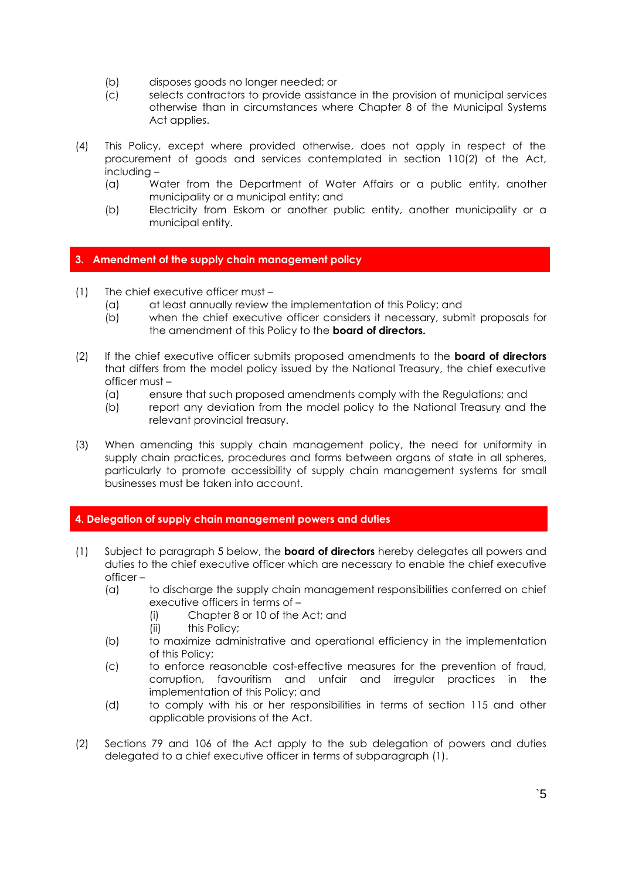- (b) disposes goods no longer needed; or
- (c) selects contractors to provide assistance in the provision of municipal services otherwise than in circumstances where Chapter 8 of the Municipal Systems Act applies.
- (4) This Policy, except where provided otherwise, does not apply in respect of the procurement of goods and services contemplated in section 110(2) of the Act, including –
	- (a) Water from the Department of Water Affairs or a public entity, another municipality or a municipal entity; and
	- (b) Electricity from Eskom or another public entity, another municipality or a municipal entity.

#### **3. Amendment of the supply chain management policy**

- (1) The chief executive officer must
	- (a) at least annually review the implementation of this Policy; and
	- (b) when the chief executive officer considers it necessary, submit proposals for the amendment of this Policy to the **board of directors.**
- (2) If the chief executive officer submits proposed amendments to the **board of directors** that differs from the model policy issued by the National Treasury, the chief executive officer must –
	- (a) ensure that such proposed amendments comply with the Regulations; and
	- (b) report any deviation from the model policy to the National Treasury and the relevant provincial treasury.
- (3) When amending this supply chain management policy, the need for uniformity in supply chain practices, procedures and forms between organs of state in all spheres, particularly to promote accessibility of supply chain management systems for small businesses must be taken into account.

## **4. Delegation of supply chain management powers and duties**

- (1) Subject to paragraph 5 below, the **board of directors** hereby delegates all powers and duties to the chief executive officer which are necessary to enable the chief executive officer –
	- (a) to discharge the supply chain management responsibilities conferred on chief executive officers in terms of –
		- (i) Chapter 8 or 10 of the Act; and
		- (ii) this Policy:
	- (b) to maximize administrative and operational efficiency in the implementation of this Policy;
	- (c) to enforce reasonable cost-effective measures for the prevention of fraud, corruption, favouritism and unfair and irregular practices in the implementation of this Policy; and
	- (d) to comply with his or her responsibilities in terms of section 115 and other applicable provisions of the Act.
- (2) Sections 79 and 106 of the Act apply to the sub delegation of powers and duties delegated to a chief executive officer in terms of subparagraph (1).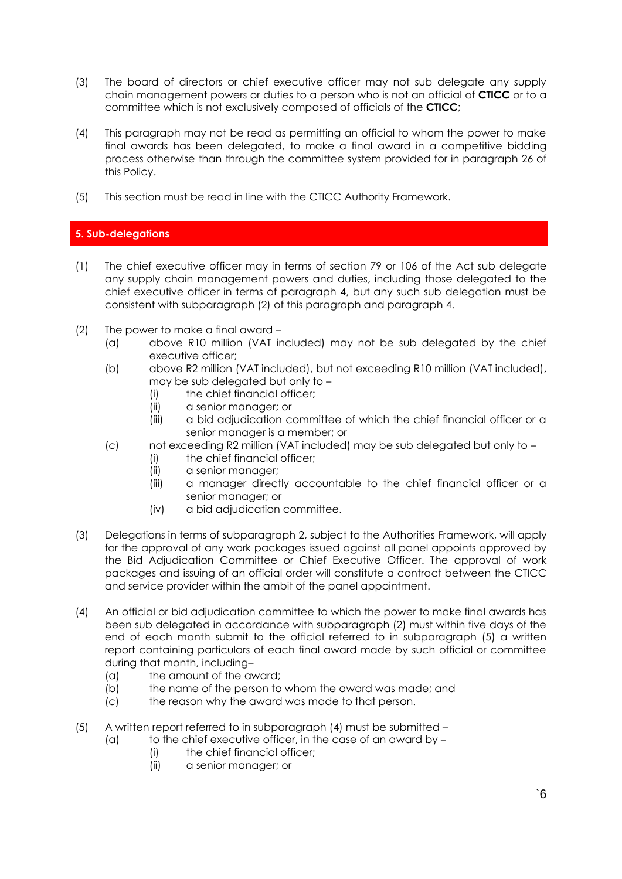- (3) The board of directors or chief executive officer may not sub delegate any supply chain management powers or duties to a person who is not an official of **CTICC** or to a committee which is not exclusively composed of officials of the **CTICC**;
- (4) This paragraph may not be read as permitting an official to whom the power to make final awards has been delegated, to make a final award in a competitive bidding process otherwise than through the committee system provided for in paragraph 26 of this Policy.
- (5) This section must be read in line with the CTICC Authority Framework.

## **5. Sub-delegations**

- (1) The chief executive officer may in terms of section 79 or 106 of the Act sub delegate any supply chain management powers and duties, including those delegated to the chief executive officer in terms of paragraph 4, but any such sub delegation must be consistent with subparagraph (2) of this paragraph and paragraph 4.
- (2) The power to make a final award
	- (a) above R10 million (VAT included) may not be sub delegated by the chief executive officer;
	- (b) above R2 million (VAT included), but not exceeding R10 million (VAT included), may be sub delegated but only to –
		- (i) the chief financial officer;
		- (ii) a senior manager; or
		- (iii) a bid adjudication committee of which the chief financial officer or a senior manager is a member; or
	- (c) not exceeding R2 million (VAT included) may be sub delegated but only to
		- (i) the chief financial officer;
		- (ii) a senior manager;
		- (iii) a manager directly accountable to the chief financial officer or a senior manager; or
		- (iv) a bid adjudication committee.
- (3) Delegations in terms of subparagraph 2, subject to the Authorities Framework, will apply for the approval of any work packages issued against all panel appoints approved by the Bid Adjudication Committee or Chief Executive Officer. The approval of work packages and issuing of an official order will constitute a contract between the CTICC and service provider within the ambit of the panel appointment.
- (4) An official or bid adjudication committee to which the power to make final awards has been sub delegated in accordance with subparagraph (2) must within five days of the end of each month submit to the official referred to in subparagraph (5) a written report containing particulars of each final award made by such official or committee during that month, including–
	- (a) the amount of the award;
	- (b) the name of the person to whom the award was made; and
	- (c) the reason why the award was made to that person.
- (5) A written report referred to in subparagraph (4) must be submitted
	- $(a)$  to the chief executive officer, in the case of an award by
		- (i) the chief financial officer;
		- (ii) a senior manager; or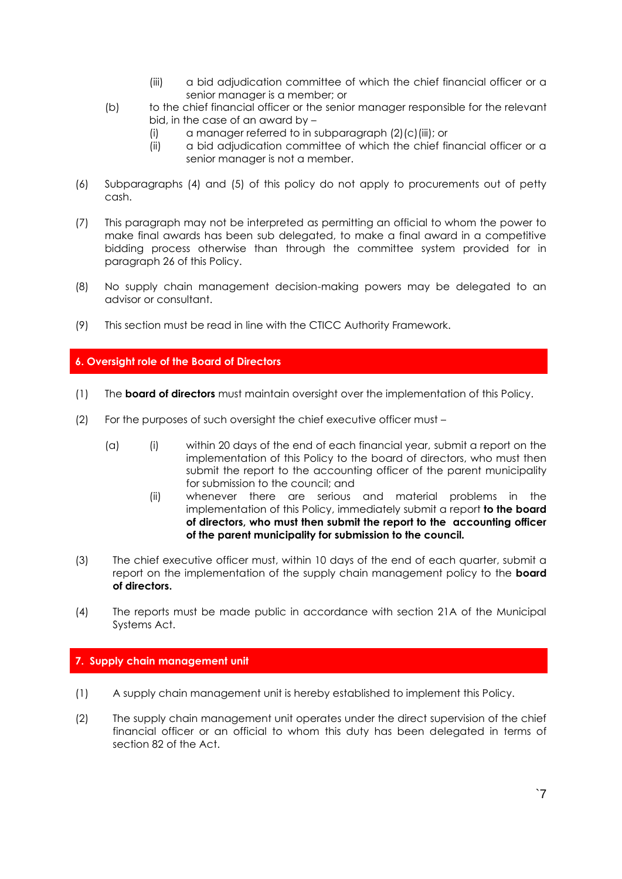- (iii) a bid adjudication committee of which the chief financial officer or a senior manager is a member; or
- (b) to the chief financial officer or the senior manager responsible for the relevant bid, in the case of an award by –
	- (i) a manager referred to in subparagraph (2)(c)(iii); or
	- (ii) a bid adjudication committee of which the chief financial officer or a senior manager is not a member.
- (6) Subparagraphs (4) and (5) of this policy do not apply to procurements out of petty cash.
- (7) This paragraph may not be interpreted as permitting an official to whom the power to make final awards has been sub delegated, to make a final award in a competitive bidding process otherwise than through the committee system provided for in paragraph 26 of this Policy.
- (8) No supply chain management decision-making powers may be delegated to an advisor or consultant.
- (9) This section must be read in line with the CTICC Authority Framework.

## **6. Oversight role of the Board of Directors**

- (1) The **board of directors** must maintain oversight over the implementation of this Policy.
- (2) For the purposes of such oversight the chief executive officer must
	- (a) (i) within 20 days of the end of each financial year, submit a report on the implementation of this Policy to the board of directors, who must then submit the report to the accounting officer of the parent municipality for submission to the council; and
		- (ii) whenever there are serious and material problems in the implementation of this Policy, immediately submit a report **to the board of directors, who must then submit the report to the accounting officer of the parent municipality for submission to the council***.*
- (3) The chief executive officer must, within 10 days of the end of each quarter, submit a report on the implementation of the supply chain management policy to the **board of directors.**
- (4) The reports must be made public in accordance with section 21A of the Municipal Systems Act.

## **7. Supply chain management unit**

- (1) A supply chain management unit is hereby established to implement this Policy.
- (2) The supply chain management unit operates under the direct supervision of the chief financial officer or an official to whom this duty has been delegated in terms of section 82 of the Act.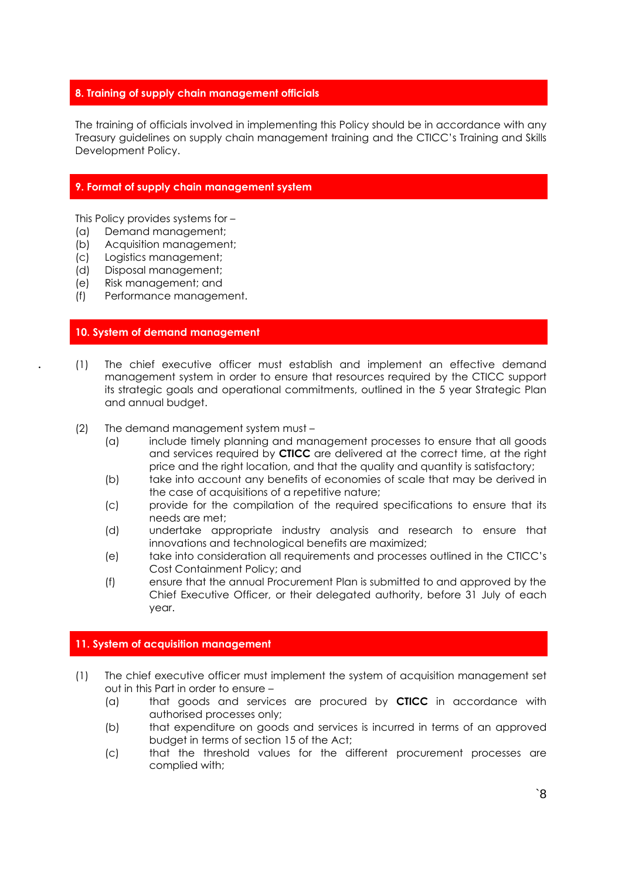#### **8. Training of supply chain management officials**

The training of officials involved in implementing this Policy should be in accordance with any Treasury guidelines on supply chain management training and the CTICC's Training and Skills Development Policy.

#### **9. Format of supply chain management system**

This Policy provides systems for –

- (a) Demand management;
- (b) Acquisition management;
- (c) Logistics management;
- (d) Disposal management;
- (e) Risk management; and
- (f) Performance management.

#### **10. System of demand management**

- **.** (1) The chief executive officer must establish and implement an effective demand management system in order to ensure that resources required by the CTICC support its strategic goals and operational commitments, outlined in the 5 year Strategic Plan and annual budget.
- (2) The demand management system must
	- (a) include timely planning and management processes to ensure that all goods and services required by **CTICC** are delivered at the correct time, at the right price and the right location, and that the quality and quantity is satisfactory;
	- (b) take into account any benefits of economies of scale that may be derived in the case of acquisitions of a repetitive nature;
	- (c) provide for the compilation of the required specifications to ensure that its needs are met;
	- (d) undertake appropriate industry analysis and research to ensure that innovations and technological benefits are maximized;
	- (e) take into consideration all requirements and processes outlined in the CTICC's Cost Containment Policy; and
	- (f) ensure that the annual Procurement Plan is submitted to and approved by the Chief Executive Officer, or their delegated authority, before 31 July of each year.

#### **11. System of acquisition management**

- (1) The chief executive officer must implement the system of acquisition management set out in this Part in order to ensure –
	- (a) that goods and services are procured by **CTICC** in accordance with authorised processes only;
	- (b) that expenditure on goods and services is incurred in terms of an approved budget in terms of section 15 of the Act;
	- (c) that the threshold values for the different procurement processes are complied with;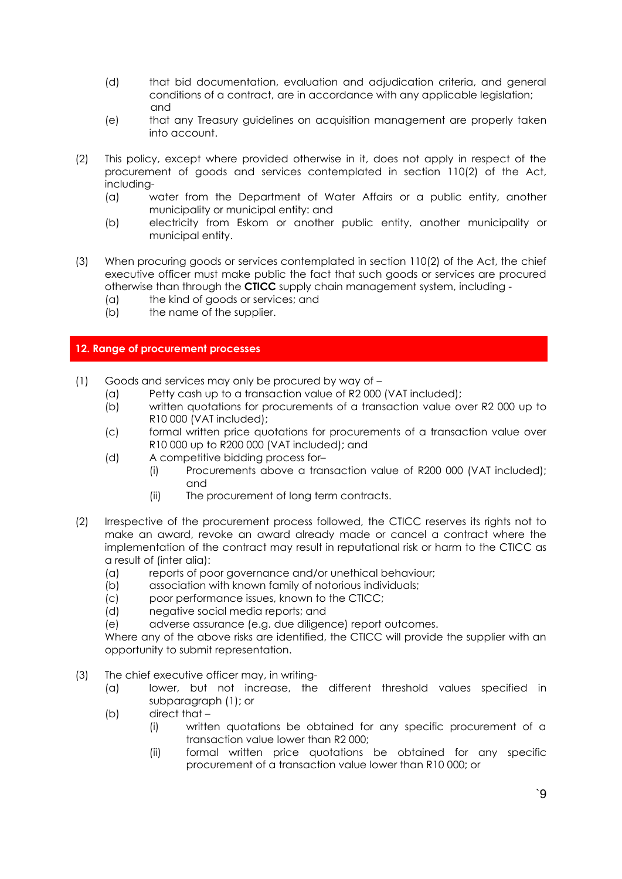- (d) that bid documentation, evaluation and adjudication criteria, and general conditions of a contract, are in accordance with any applicable legislation; and
- (e) that any Treasury guidelines on acquisition management are properly taken into account.
- (2) This policy, except where provided otherwise in it, does not apply in respect of the procurement of goods and services contemplated in section 110(2) of the Act, including-
	- (a) water from the Department of Water Affairs or a public entity, another municipality or municipal entity: and
	- (b) electricity from Eskom or another public entity, another municipality or municipal entity.
- (3) When procuring goods or services contemplated in section 110(2) of the Act, the chief executive officer must make public the fact that such goods or services are procured otherwise than through the **CTICC** supply chain management system, including -
	- (a) the kind of goods or services; and
	- (b) the name of the supplier.

#### **12. Range of procurement processes**

- (1) Goods and services may only be procured by way of
	- (a) Petty cash up to a transaction value of R2 000 (VAT included);
	- (b) written quotations for procurements of a transaction value over R2 000 up to R10 000 (VAT included);
	- (c) formal written price quotations for procurements of a transaction value over R10 000 up to R200 000 (VAT included); and
	- (d) A competitive bidding process for–
		- (i) Procurements above a transaction value of R200 000 (VAT included); and
		- (ii) The procurement of long term contracts.
- (2) Irrespective of the procurement process followed, the CTICC reserves its rights not to make an award, revoke an award already made or cancel a contract where the implementation of the contract may result in reputational risk or harm to the CTICC as a result of (inter alia):
	- (a) reports of poor governance and/or unethical behaviour;
	- (b) association with known family of notorious individuals;
	- (c) poor performance issues, known to the CTICC;
	- (d) negative social media reports; and
	- (e) adverse assurance (e.g. due diligence) report outcomes.

Where any of the above risks are identified, the CTICC will provide the supplier with an opportunity to submit representation.

- (3) The chief executive officer may, in writing-
	- (a) lower, but not increase, the different threshold values specified in subparagraph (1); or
	- (b) direct that
		- (i) written quotations be obtained for any specific procurement of a transaction value lower than R2 000;
		- (ii) formal written price quotations be obtained for any specific procurement of a transaction value lower than R10 000; or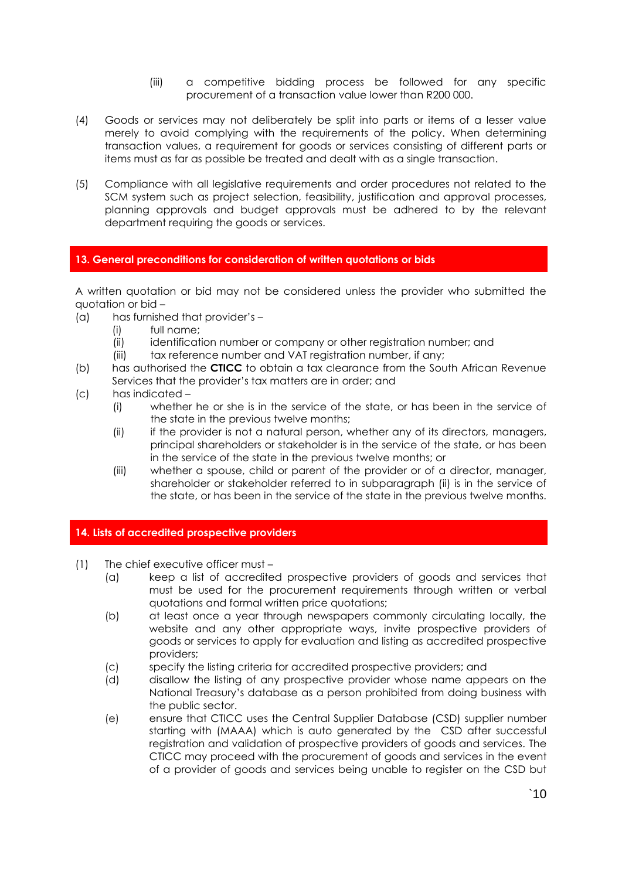- (iii) a competitive bidding process be followed for any specific procurement of a transaction value lower than R200 000.
- (4) Goods or services may not deliberately be split into parts or items of a lesser value merely to avoid complying with the requirements of the policy. When determining transaction values, a requirement for goods or services consisting of different parts or items must as far as possible be treated and dealt with as a single transaction.
- (5) Compliance with all legislative requirements and order procedures not related to the SCM system such as project selection, feasibility, justification and approval processes, planning approvals and budget approvals must be adhered to by the relevant department requiring the goods or services.

#### **13. General preconditions for consideration of written quotations or bids**

A written quotation or bid may not be considered unless the provider who submitted the quotation or bid –

- (a) has furnished that provider's
	- (i) full name;
	- (ii) identification number or company or other registration number; and
	- (iii) tax reference number and VAT registration number, if any;
- (b) has authorised the **CTICC** to obtain a tax clearance from the South African Revenue Services that the provider's tax matters are in order; and
- (c) has indicated
	- (i) whether he or she is in the service of the state, or has been in the service of the state in the previous twelve months;
	- (ii) if the provider is not a natural person, whether any of its directors, managers, principal shareholders or stakeholder is in the service of the state, or has been in the service of the state in the previous twelve months; or
	- (iii) whether a spouse, child or parent of the provider or of a director, manager, shareholder or stakeholder referred to in subparagraph (ii) is in the service of the state, or has been in the service of the state in the previous twelve months.

## **14. Lists of accredited prospective providers**

- (1) The chief executive officer must
	- (a) keep a list of accredited prospective providers of goods and services that must be used for the procurement requirements through written or verbal quotations and formal written price quotations;
	- (b) at least once a year through newspapers commonly circulating locally, the website and any other appropriate ways, invite prospective providers of goods or services to apply for evaluation and listing as accredited prospective providers;
	- (c) specify the listing criteria for accredited prospective providers; and
	- (d) disallow the listing of any prospective provider whose name appears on the National Treasury's database as a person prohibited from doing business with the public sector.
	- (e) ensure that CTICC uses the Central Supplier Database (CSD) supplier number starting with (MAAA) which is auto generated by the CSD after successful registration and validation of prospective providers of goods and services. The CTICC may proceed with the procurement of goods and services in the event of a provider of goods and services being unable to register on the CSD but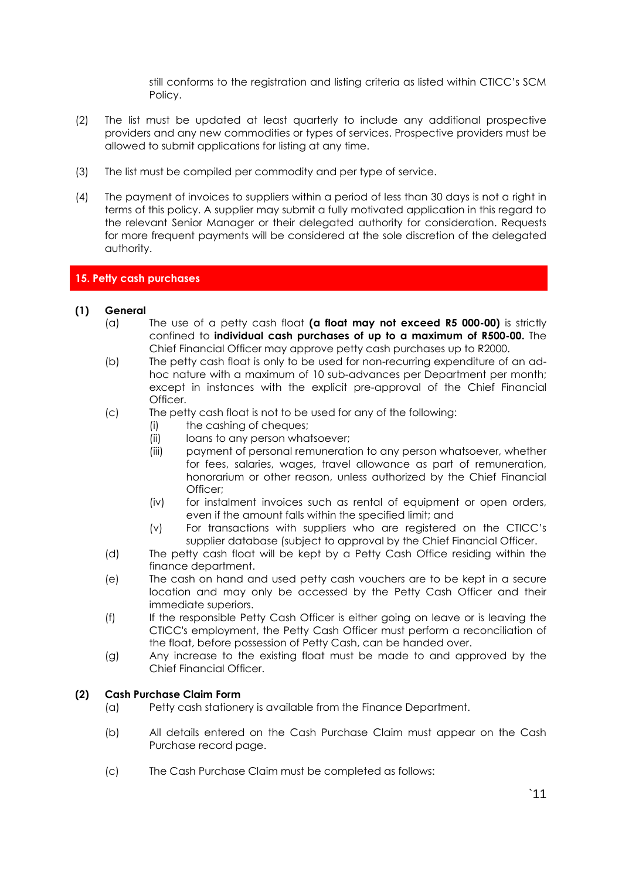still conforms to the registration and listing criteria as listed within CTICC's SCM Policy.

- (2) The list must be updated at least quarterly to include any additional prospective providers and any new commodities or types of services. Prospective providers must be allowed to submit applications for listing at any time.
- (3) The list must be compiled per commodity and per type of service.
- (4) The payment of invoices to suppliers within a period of less than 30 days is not a right in terms of this policy. A supplier may submit a fully motivated application in this regard to the relevant Senior Manager or their delegated authority for consideration. Requests for more frequent payments will be considered at the sole discretion of the delegated authority.

## **15. Petty cash purchases**

#### **(1) General**

- (a) The use of a petty cash float **(a float may not exceed R5 000-00)** is strictly confined to **individual cash purchases of up to a maximum of R500-00.** The Chief Financial Officer may approve petty cash purchases up to R2000.
- (b) The petty cash float is only to be used for non-recurring expenditure of an adhoc nature with a maximum of 10 sub-advances per Department per month; except in instances with the explicit pre-approval of the Chief Financial Officer.
- (c) The petty cash float is not to be used for any of the following:
	- (i) the cashing of cheques;
	- (ii) loans to any person whatsoever;
	- (iii) payment of personal remuneration to any person whatsoever, whether for fees, salaries, wages, travel allowance as part of remuneration, honorarium or other reason, unless authorized by the Chief Financial Officer:
	- (iv) for instalment invoices such as rental of equipment or open orders, even if the amount falls within the specified limit; and
	- (v) For transactions with suppliers who are registered on the CTICC's supplier database (subject to approval by the Chief Financial Officer.
- (d) The petty cash float will be kept by a Petty Cash Office residing within the finance department.
- (e) The cash on hand and used petty cash vouchers are to be kept in a secure location and may only be accessed by the Petty Cash Officer and their immediate superiors.
- (f) If the responsible Petty Cash Officer is either going on leave or is leaving the CTICC's employment, the Petty Cash Officer must perform a reconciliation of the float, before possession of Petty Cash, can be handed over.
- (g) Any increase to the existing float must be made to and approved by the Chief Financial Officer.

#### **(2) Cash Purchase Claim Form**

- (a) Petty cash stationery is available from the Finance Department.
- (b) All details entered on the Cash Purchase Claim must appear on the Cash Purchase record page.
- (c) The Cash Purchase Claim must be completed as follows: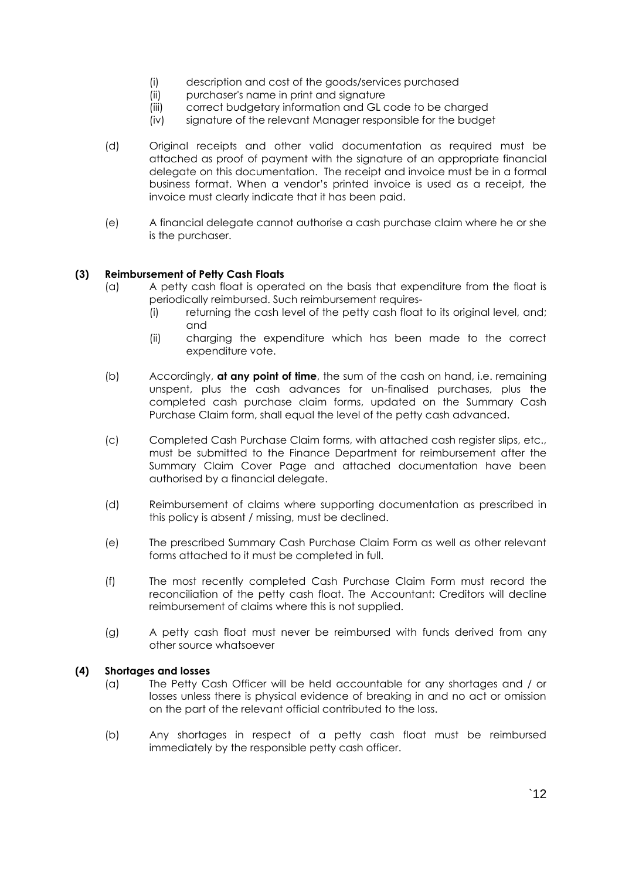- (i) description and cost of the goods/services purchased
- (ii) purchaser's name in print and signature
- (iii) correct budgetary information and GL code to be charged
- (iv) signature of the relevant Manager responsible for the budget
- (d) Original receipts and other valid documentation as required must be attached as proof of payment with the signature of an appropriate financial delegate on this documentation. The receipt and invoice must be in a formal business format. When a vendor's printed invoice is used as a receipt, the invoice must clearly indicate that it has been paid.
- (e) A financial delegate cannot authorise a cash purchase claim where he or she is the purchaser.

#### **(3) Reimbursement of Petty Cash Floats**

- (a) A petty cash float is operated on the basis that expenditure from the float is periodically reimbursed. Such reimbursement requires-
	- (i) returning the cash level of the petty cash float to its original level, and; and
	- (ii) charging the expenditure which has been made to the correct expenditure vote.
- (b) Accordingly, **at any point of time**, the sum of the cash on hand, i.e. remaining unspent, plus the cash advances for un-finalised purchases, plus the completed cash purchase claim forms, updated on the Summary Cash Purchase Claim form, shall equal the level of the petty cash advanced.
- (c) Completed Cash Purchase Claim forms, with attached cash register slips, etc., must be submitted to the Finance Department for reimbursement after the Summary Claim Cover Page and attached documentation have been authorised by a financial delegate.
- (d) Reimbursement of claims where supporting documentation as prescribed in this policy is absent / missing, must be declined.
- (e) The prescribed Summary Cash Purchase Claim Form as well as other relevant forms attached to it must be completed in full.
- (f) The most recently completed Cash Purchase Claim Form must record the reconciliation of the petty cash float. The Accountant: Creditors will decline reimbursement of claims where this is not supplied.
- (g) A petty cash float must never be reimbursed with funds derived from any other source whatsoever

#### **(4) Shortages and losses**

- (a) The Petty Cash Officer will be held accountable for any shortages and / or losses unless there is physical evidence of breaking in and no act or omission on the part of the relevant official contributed to the loss.
- (b) Any shortages in respect of a petty cash float must be reimbursed immediately by the responsible petty cash officer.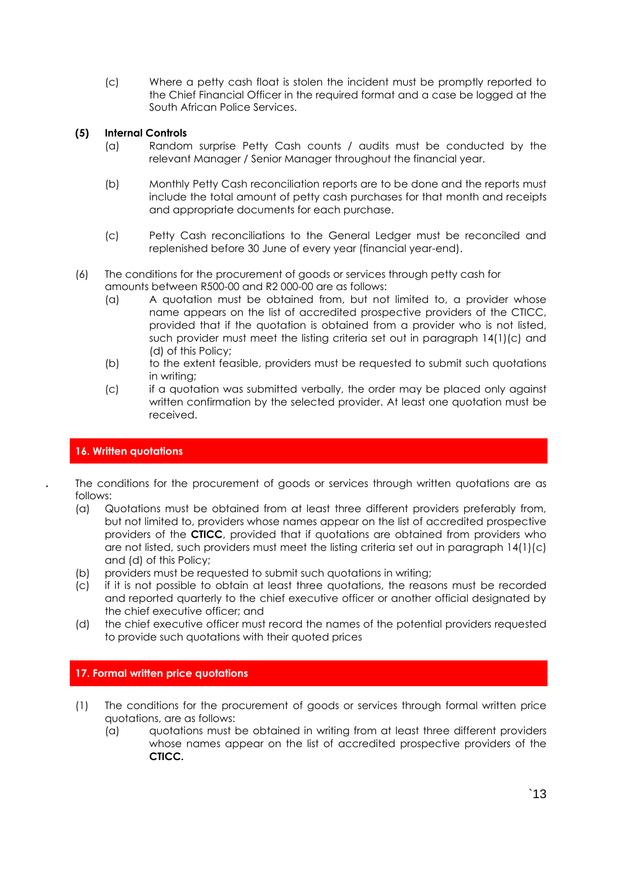(c) Where a petty cash float is stolen the incident must be promptly reported to the Chief Financial Officer in the required format and a case be logged at the South African Police Services.

## **(5) Internal Controls**

- (a) Random surprise Petty Cash counts / audits must be conducted by the relevant Manager / Senior Manager throughout the financial year.
- (b) Monthly Petty Cash reconciliation reports are to be done and the reports must include the total amount of petty cash purchases for that month and receipts and appropriate documents for each purchase.
- (c) Petty Cash reconciliations to the General Ledger must be reconciled and replenished before 30 June of every year (financial year-end).
- (6) The conditions for the procurement of goods or services through petty cash for amounts between R500-00 and R2 000-00 are as follows:
	- (a) A quotation must be obtained from, but not limited to, a provider whose name appears on the list of accredited prospective providers of the CTICC, provided that if the quotation is obtained from a provider who is not listed, such provider must meet the listing criteria set out in paragraph 14(1)(c) and (d) of this Policy;
	- (b) to the extent feasible, providers must be requested to submit such quotations in writing;
	- (c) if a quotation was submitted verbally, the order may be placed only against written confirmation by the selected provider. At least one quotation must be received.

## **16. Written quotations**

The conditions for the procurement of goods or services through written quotations are as follows:

- (a) Quotations must be obtained from at least three different providers preferably from, but not limited to, providers whose names appear on the list of accredited prospective providers of the **CTICC**, provided that if quotations are obtained from providers who are not listed, such providers must meet the listing criteria set out in paragraph 14(1)(c) and (d) of this Policy;
- (b) providers must be requested to submit such quotations in writing;
- (c) if it is not possible to obtain at least three quotations, the reasons must be recorded and reported quarterly to the chief executive officer or another official designated by the chief executive officer; and
- (d) the chief executive officer must record the names of the potential providers requested to provide such quotations with their quoted prices

## **17. Formal written price quotations**

- (1) The conditions for the procurement of goods or services through formal written price quotations, are as follows:
	- (a) quotations must be obtained in writing from at least three different providers whose names appear on the list of accredited prospective providers of the **CTICC.**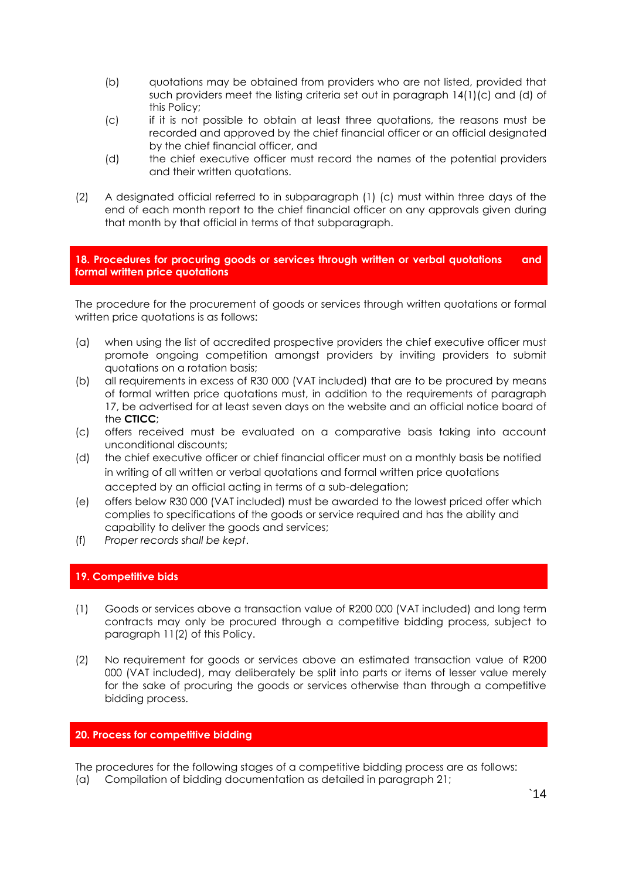- (b) quotations may be obtained from providers who are not listed, provided that such providers meet the listing criteria set out in paragraph 14(1)(c) and (d) of this Policy;
- (c) if it is not possible to obtain at least three quotations, the reasons must be recorded and approved by the chief financial officer or an official designated by the chief financial officer, and
- (d) the chief executive officer must record the names of the potential providers and their written quotations.
- (2) A designated official referred to in subparagraph (1) (c) must within three days of the end of each month report to the chief financial officer on any approvals given during that month by that official in terms of that subparagraph.

**18. Procedures for procuring goods or services through written or verbal quotations and formal written price quotations** 

The procedure for the procurement of goods or services through written quotations or formal written price quotations is as follows:

- (a) when using the list of accredited prospective providers the chief executive officer must promote ongoing competition amongst providers by inviting providers to submit quotations on a rotation basis;
- (b) all requirements in excess of R30 000 (VAT included) that are to be procured by means of formal written price quotations must, in addition to the requirements of paragraph 17, be advertised for at least seven days on the website and an official notice board of the **CTICC**;
- (c) offers received must be evaluated on a comparative basis taking into account unconditional discounts;
- (d) the chief executive officer or chief financial officer must on a monthly basis be notified in writing of all written or verbal quotations and formal written price quotations accepted by an official acting in terms of a sub-delegation;
- (e) offers below R30 000 (VAT included) must be awarded to the lowest priced offer which complies to specifications of the goods or service required and has the ability and capability to deliver the goods and services;
- (f) *Proper records shall be kept*.

## **19. Competitive bids**

- (1) Goods or services above a transaction value of R200 000 (VAT included) and long term contracts may only be procured through a competitive bidding process, subject to paragraph 11(2) of this Policy.
- (2) No requirement for goods or services above an estimated transaction value of R200 000 (VAT included), may deliberately be split into parts or items of lesser value merely for the sake of procuring the goods or services otherwise than through a competitive bidding process.

#### **20. Process for competitive bidding**

The procedures for the following stages of a competitive bidding process are as follows:

(a) Compilation of bidding documentation as detailed in paragraph 21;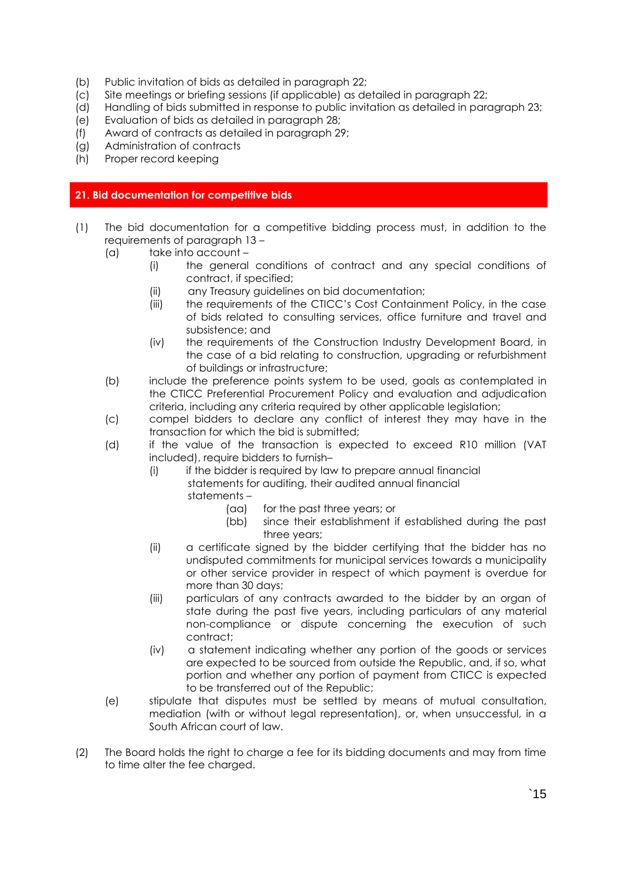- (b) Public invitation of bids as detailed in paragraph 22;
- (c) Site meetings or briefing sessions (if applicable) as detailed in paragraph 22;
- (d) Handling of bids submitted in response to public invitation as detailed in paragraph 23;
- (e) Evaluation of bids as detailed in paragraph 28;
- (f) Award of contracts as detailed in paragraph 29;
- (g) Administration of contracts
- (h) Proper record keeping

#### **21. Bid documentation for competitive bids**

- (1) The bid documentation for a competitive bidding process must, in addition to the requirements of paragraph 13 –
	- (a) take into account
		- (i) the general conditions of contract and any special conditions of contract, if specified;
		- (ii) any Treasury guidelines on bid documentation;
		- (iii) the requirements of the CTICC's Cost Containment Policy, in the case of bids related to consulting services, office furniture and travel and subsistence; and
		- (iv) the requirements of the Construction Industry Development Board, in the case of a bid relating to construction, upgrading or refurbishment of buildings or infrastructure;
	- (b) include the preference points system to be used, goals as contemplated in the CTICC Preferential Procurement Policy and evaluation and adjudication criteria, including any criteria required by other applicable legislation;
	- (c) compel bidders to declare any conflict of interest they may have in the transaction for which the bid is submitted;
	- (d) if the value of the transaction is expected to exceed R10 million (VAT included), require bidders to furnish–
		- (i) if the bidder is required by law to prepare annual financial
			- statements for auditing, their audited annual financial statements –
				- (aa) for the past three years; or
				- (bb) since their establishment if established during the past three years;
		- (ii) a certificate signed by the bidder certifying that the bidder has no undisputed commitments for municipal services towards a municipality or other service provider in respect of which payment is overdue for more than 30 days;
		- (iii) particulars of any contracts awarded to the bidder by an organ of state during the past five years, including particulars of any material non-compliance or dispute concerning the execution of such contract;
		- (iv) a statement indicating whether any portion of the goods or services are expected to be sourced from outside the Republic, and, if so, what portion and whether any portion of payment from CTICC is expected to be transferred out of the Republic;
	- (e) stipulate that disputes must be settled by means of mutual consultation, mediation (with or without legal representation), or, when unsuccessful, in a South African court of law.
- (2) The Board holds the right to charge a fee for its bidding documents and may from time to time alter the fee charged.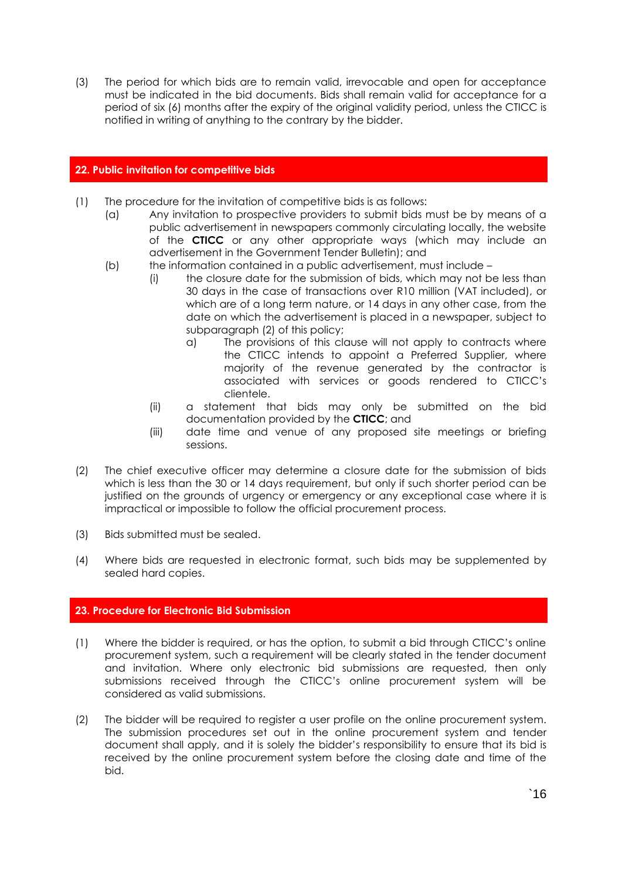(3) The period for which bids are to remain valid, irrevocable and open for acceptance must be indicated in the bid documents. Bids shall remain valid for acceptance for a period of six (6) months after the expiry of the original validity period, unless the CTICC is notified in writing of anything to the contrary by the bidder.

#### **22. Public invitation for competitive bids**

- (1) The procedure for the invitation of competitive bids is as follows:
	- (a) Any invitation to prospective providers to submit bids must be by means of a public advertisement in newspapers commonly circulating locally, the website of the **CTICC** or any other appropriate ways (which may include an advertisement in the Government Tender Bulletin); and
		- (b) the information contained in a public advertisement, must include
			- (i) the closure date for the submission of bids, which may not be less than 30 days in the case of transactions over R10 million (VAT included), or which are of a long term nature, or 14 days in any other case, from the date on which the advertisement is placed in a newspaper, subject to subparagraph (2) of this policy;
				- a) The provisions of this clause will not apply to contracts where the CTICC intends to appoint a Preferred Supplier, where majority of the revenue generated by the contractor is associated with services or goods rendered to CTICC's clientele.
			- (ii) a statement that bids may only be submitted on the bid documentation provided by the **CTICC**; and
			- (iii) date time and venue of any proposed site meetings or briefing sessions.
- (2) The chief executive officer may determine a closure date for the submission of bids which is less than the 30 or 14 days requirement, but only if such shorter period can be justified on the grounds of urgency or emergency or any exceptional case where it is impractical or impossible to follow the official procurement process.
- (3) Bids submitted must be sealed.
- (4) Where bids are requested in electronic format, such bids may be supplemented by sealed hard copies.

## **23. Procedure for Electronic Bid Submission**

- (1) Where the bidder is required, or has the option, to submit a bid through CTICC's online procurement system, such a requirement will be clearly stated in the tender document and invitation. Where only electronic bid submissions are requested, then only submissions received through the CTICC's online procurement system will be considered as valid submissions.
- (2) The bidder will be required to register a user profile on the online procurement system. The submission procedures set out in the online procurement system and tender document shall apply, and it is solely the bidder's responsibility to ensure that its bid is received by the online procurement system before the closing date and time of the bid.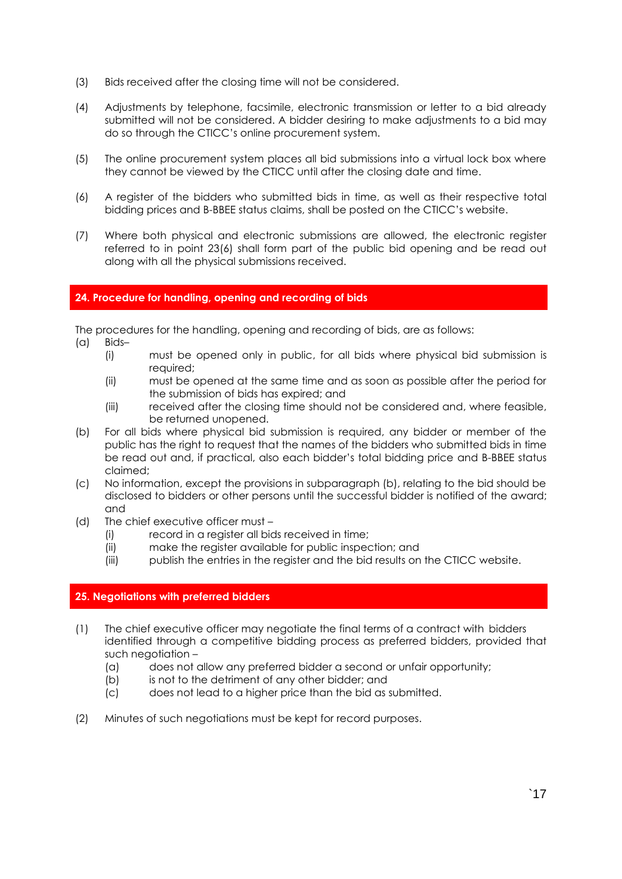- (3) Bids received after the closing time will not be considered.
- (4) Adjustments by telephone, facsimile, electronic transmission or letter to a bid already submitted will not be considered. A bidder desiring to make adjustments to a bid may do so through the CTICC's online procurement system.
- (5) The online procurement system places all bid submissions into a virtual lock box where they cannot be viewed by the CTICC until after the closing date and time.
- (6) A register of the bidders who submitted bids in time, as well as their respective total bidding prices and B-BBEE status claims, shall be posted on the CTICC's website.
- (7) Where both physical and electronic submissions are allowed, the electronic register referred to in point 23(6) shall form part of the public bid opening and be read out along with all the physical submissions received.

#### **24. Procedure for handling, opening and recording of bids**

The procedures for the handling, opening and recording of bids, are as follows:

- (a) Bids–
	- (i) must be opened only in public, for all bids where physical bid submission is required;
	- (ii) must be opened at the same time and as soon as possible after the period for the submission of bids has expired; and
	- (iii) received after the closing time should not be considered and, where feasible, be returned unopened.
- (b) For all bids where physical bid submission is required, any bidder or member of the public has the right to request that the names of the bidders who submitted bids in time be read out and, if practical, also each bidder's total bidding price and B-BBEE status claimed;
- (c) No information, except the provisions in subparagraph (b), relating to the bid should be disclosed to bidders or other persons until the successful bidder is notified of the award; and
- (d) The chief executive officer must
	- (i) record in a register all bids received in time;
	- (ii) make the register available for public inspection; and
	- (iii) publish the entries in the register and the bid results on the CTICC website.

## **25. Negotiations with preferred bidders**

- (1) The chief executive officer may negotiate the final terms of a contract with bidders identified through a competitive bidding process as preferred bidders, provided that such negotiation –
	- (a) does not allow any preferred bidder a second or unfair opportunity;
	- (b) is not to the detriment of any other bidder; and
	- (c) does not lead to a higher price than the bid as submitted.
- (2) Minutes of such negotiations must be kept for record purposes.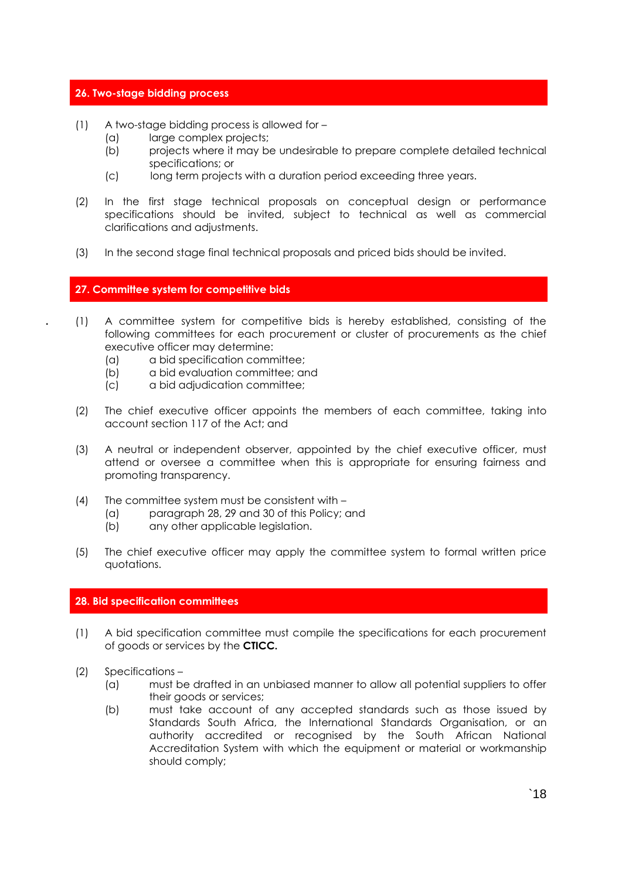#### **26. Two-stage bidding process**

- (1) A two-stage bidding process is allowed for
	- (a) large complex projects;
	- (b) projects where it may be undesirable to prepare complete detailed technical specifications; or
	- (c) long term projects with a duration period exceeding three years.
- (2) In the first stage technical proposals on conceptual design or performance specifications should be invited, subject to technical as well as commercial clarifications and adjustments.
- (3) In the second stage final technical proposals and priced bids should be invited.

#### **27. Committee system for competitive bids**

- **.** (1) A committee system for competitive bids is hereby established, consisting of the following committees for each procurement or cluster of procurements as the chief executive officer may determine:
	- (a) a bid specification committee;
	- (b) a bid evaluation committee; and
	- (c) a bid adjudication committee;
- (2) The chief executive officer appoints the members of each committee, taking into account section 117 of the Act; and
- (3) A neutral or independent observer, appointed by the chief executive officer, must attend or oversee a committee when this is appropriate for ensuring fairness and promoting transparency.
- (4) The committee system must be consistent with
	- (a) paragraph 28, 29 and 30 of this Policy; and
	- (b) any other applicable legislation.
- (5) The chief executive officer may apply the committee system to formal written price quotations.

#### **28. Bid specification committees**

- (1) A bid specification committee must compile the specifications for each procurement of goods or services by the **CTICC.**
- (2) Specifications
	- (a) must be drafted in an unbiased manner to allow all potential suppliers to offer their goods or services;
	- (b) must take account of any accepted standards such as those issued by Standards South Africa, the International Standards Organisation, or an authority accredited or recognised by the South African National Accreditation System with which the equipment or material or workmanship should comply;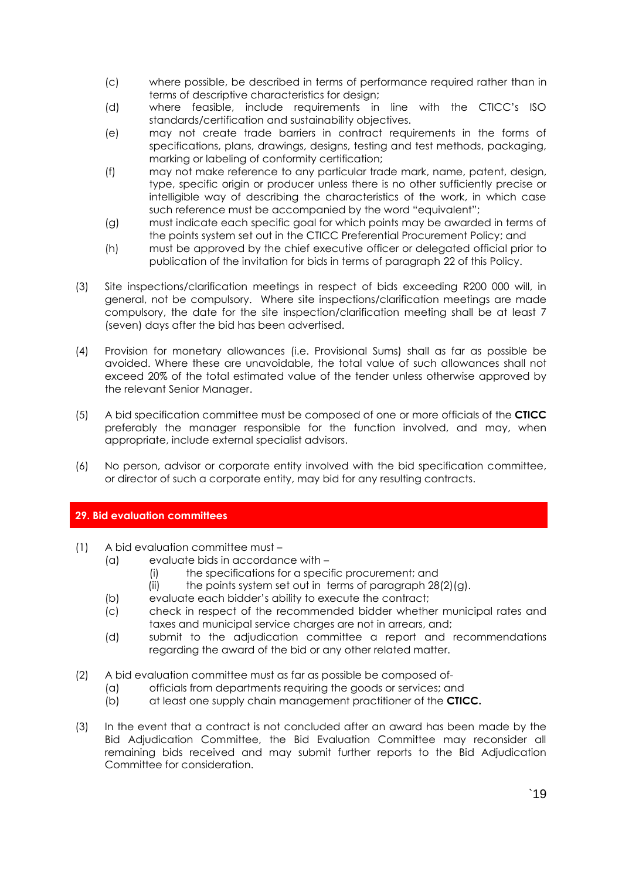- (c) where possible, be described in terms of performance required rather than in terms of descriptive characteristics for design;
- (d) where feasible, include requirements in line with the CTICC's ISO standards/certification and sustainability objectives.
- (e) may not create trade barriers in contract requirements in the forms of specifications, plans, drawings, designs, testing and test methods, packaging, marking or labeling of conformity certification;
- (f) may not make reference to any particular trade mark, name, patent, design, type, specific origin or producer unless there is no other sufficiently precise or intelligible way of describing the characteristics of the work, in which case such reference must be accompanied by the word "equivalent";
- (g) must indicate each specific goal for which points may be awarded in terms of the points system set out in the CTICC Preferential Procurement Policy; and
- (h) must be approved by the chief executive officer or delegated official prior to publication of the invitation for bids in terms of paragraph 22 of this Policy.
- (3) Site inspections/clarification meetings in respect of bids exceeding R200 000 will, in general, not be compulsory. Where site inspections/clarification meetings are made compulsory, the date for the site inspection/clarification meeting shall be at least 7 (seven) days after the bid has been advertised.
- (4) Provision for monetary allowances (i.e. Provisional Sums) shall as far as possible be avoided. Where these are unavoidable, the total value of such allowances shall not exceed 20% of the total estimated value of the tender unless otherwise approved by the relevant Senior Manager.
- (5) A bid specification committee must be composed of one or more officials of the **CTICC** preferably the manager responsible for the function involved, and may, when appropriate, include external specialist advisors.
- (6) No person, advisor or corporate entity involved with the bid specification committee, or director of such a corporate entity, may bid for any resulting contracts.

#### **29. Bid evaluation committees**

- (1) A bid evaluation committee must
	- (a) evaluate bids in accordance with
		- (i) the specifications for a specific procurement; and
		- (ii) the points system set out in terms of paragraph  $28(2)(g)$ .
	- (b) evaluate each bidder's ability to execute the contract;
	- (c) check in respect of the recommended bidder whether municipal rates and taxes and municipal service charges are not in arrears, and;
	- (d) submit to the adjudication committee a report and recommendations regarding the award of the bid or any other related matter.
- (2) A bid evaluation committee must as far as possible be composed of-
	- (a) officials from departments requiring the goods or services; and
	- (b) at least one supply chain management practitioner of the **CTICC.**
- (3) In the event that a contract is not concluded after an award has been made by the Bid Adjudication Committee, the Bid Evaluation Committee may reconsider all remaining bids received and may submit further reports to the Bid Adjudication Committee for consideration.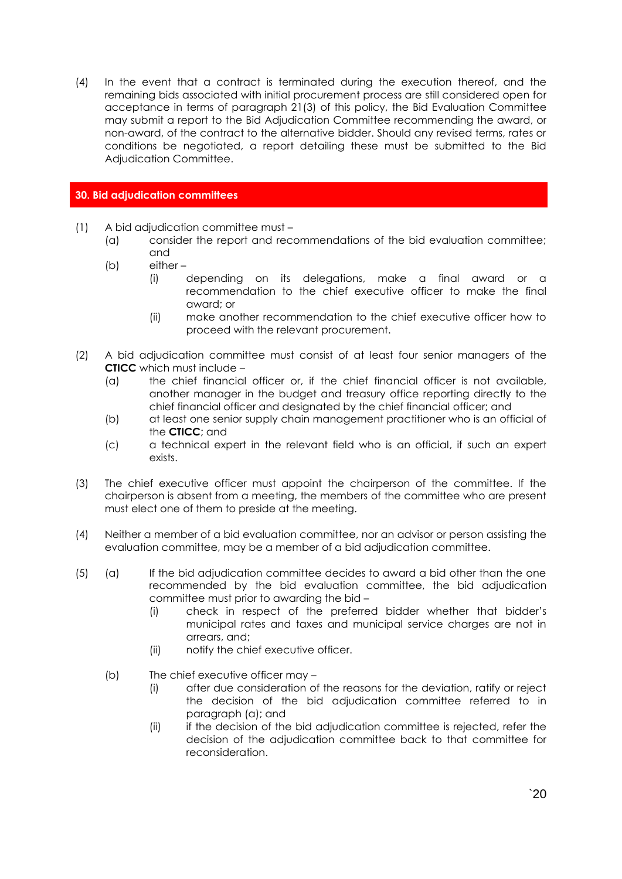(4) In the event that a contract is terminated during the execution thereof, and the remaining bids associated with initial procurement process are still considered open for acceptance in terms of paragraph 21(3) of this policy, the Bid Evaluation Committee may submit a report to the Bid Adjudication Committee recommending the award, or non-award, of the contract to the alternative bidder. Should any revised terms, rates or conditions be negotiated, a report detailing these must be submitted to the Bid Adjudication Committee.

#### **30. Bid adjudication committees**

- (1) A bid adjudication committee must
	- (a) consider the report and recommendations of the bid evaluation committee; and
	- (b) either
		- (i) depending on its delegations, make a final award or a recommendation to the chief executive officer to make the final award; or
		- (ii) make another recommendation to the chief executive officer how to proceed with the relevant procurement.
- (2) A bid adjudication committee must consist of at least four senior managers of the **CTICC** which must include –
	- (a) the chief financial officer or, if the chief financial officer is not available, another manager in the budget and treasury office reporting directly to the chief financial officer and designated by the chief financial officer; and
	- (b) at least one senior supply chain management practitioner who is an official of the **CTICC**; and
	- (c) a technical expert in the relevant field who is an official, if such an expert exists.
- (3) The chief executive officer must appoint the chairperson of the committee. If the chairperson is absent from a meeting, the members of the committee who are present must elect one of them to preside at the meeting.
- (4) Neither a member of a bid evaluation committee, nor an advisor or person assisting the evaluation committee, may be a member of a bid adjudication committee.
- (5) (a) If the bid adjudication committee decides to award a bid other than the one recommended by the bid evaluation committee, the bid adjudication committee must prior to awarding the bid –
	- (i) check in respect of the preferred bidder whether that bidder's municipal rates and taxes and municipal service charges are not in arrears, and;
	- (ii) notify the chief executive officer.
	- (b) The chief executive officer may
		- (i) after due consideration of the reasons for the deviation, ratify or reject the decision of the bid adjudication committee referred to in paragraph (a); and
		- (ii) if the decision of the bid adjudication committee is rejected, refer the decision of the adjudication committee back to that committee for reconsideration.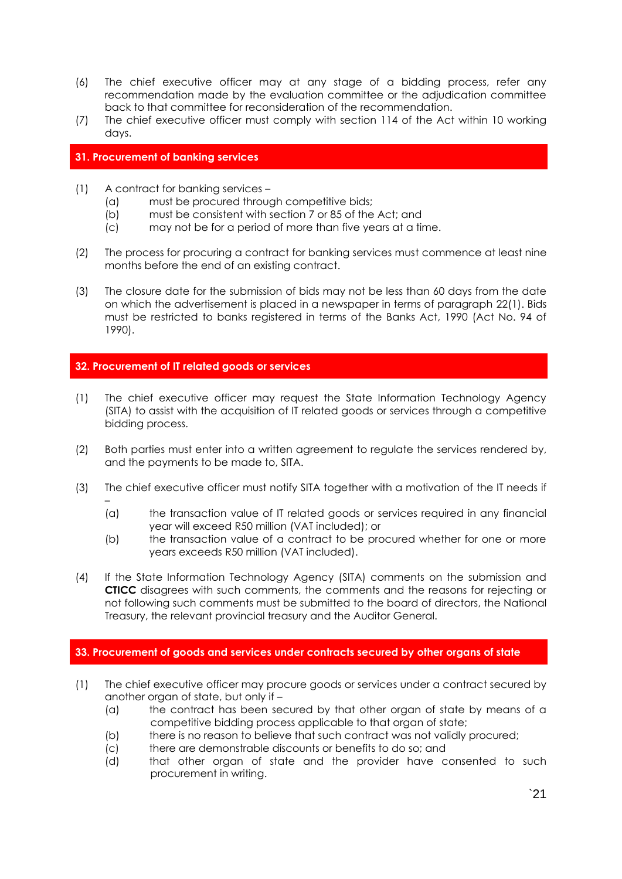- (6) The chief executive officer may at any stage of a bidding process, refer any recommendation made by the evaluation committee or the adjudication committee back to that committee for reconsideration of the recommendation.
- (7) The chief executive officer must comply with section 114 of the Act within 10 working days.

#### **31. Procurement of banking services**

- (1) A contract for banking services
	- (a) must be procured through competitive bids;
	- (b) must be consistent with section 7 or 85 of the Act; and
	- (c) may not be for a period of more than five years at a time.
- (2) The process for procuring a contract for banking services must commence at least nine months before the end of an existing contract.
- (3) The closure date for the submission of bids may not be less than 60 days from the date on which the advertisement is placed in a newspaper in terms of paragraph 22(1). Bids must be restricted to banks registered in terms of the Banks Act, 1990 (Act No. 94 of 1990).

#### **32. Procurement of IT related goods or services**

- (1) The chief executive officer may request the State Information Technology Agency (SITA) to assist with the acquisition of IT related goods or services through a competitive bidding process.
- (2) Both parties must enter into a written agreement to regulate the services rendered by, and the payments to be made to, SITA.
- (3) The chief executive officer must notify SITA together with a motivation of the IT needs if –
	- (a) the transaction value of IT related goods or services required in any financial year will exceed R50 million (VAT included); or
	- (b) the transaction value of a contract to be procured whether for one or more years exceeds R50 million (VAT included).
- (4) If the State Information Technology Agency (SITA) comments on the submission and **CTICC** disagrees with such comments, the comments and the reasons for rejecting or not following such comments must be submitted to the board of directors, the National Treasury, the relevant provincial treasury and the Auditor General.

## **33. Procurement of goods and services under contracts secured by other organs of state**

- (1) The chief executive officer may procure goods or services under a contract secured by another organ of state, but only if –
	- (a) the contract has been secured by that other organ of state by means of a competitive bidding process applicable to that organ of state;
	- (b) there is no reason to believe that such contract was not validly procured;
	- (c) there are demonstrable discounts or benefits to do so; and
	- (d) that other organ of state and the provider have consented to such procurement in writing.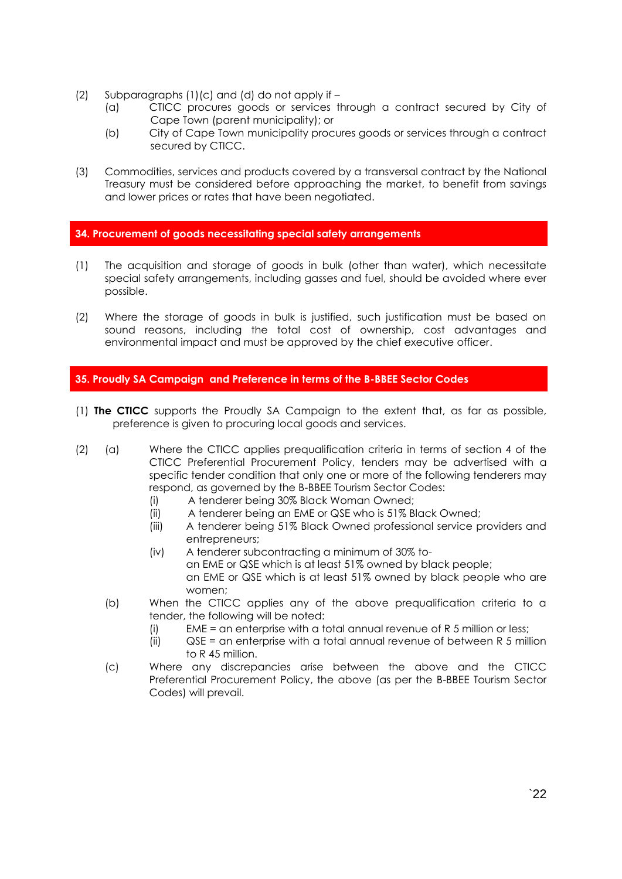- (2) Subparagraphs (1)(c) and (d) do not apply if
	- (a) CTICC procures goods or services through a contract secured by City of Cape Town (parent municipality); or
	- (b) City of Cape Town municipality procures goods or services through a contract secured by CTICC.
- (3) Commodities, services and products covered by a transversal contract by the National Treasury must be considered before approaching the market, to benefit from savings and lower prices or rates that have been negotiated.

#### **34. Procurement of goods necessitating special safety arrangements**

- (1) The acquisition and storage of goods in bulk (other than water), which necessitate special safety arrangements, including gasses and fuel, should be avoided where ever possible.
- (2) Where the storage of goods in bulk is justified, such justification must be based on sound reasons, including the total cost of ownership, cost advantages and environmental impact and must be approved by the chief executive officer.

## **35. Proudly SA Campaign and Preference in terms of the B-BBEE Sector Codes**

- (1) **The CTICC** supports the Proudly SA Campaign to the extent that, as far as possible, preference is given to procuring local goods and services.
- (2) (a) Where the CTICC applies prequalification criteria in terms of section 4 of the CTICC Preferential Procurement Policy, tenders may be advertised with a specific tender condition that only one or more of the following tenderers may respond, as governed by the B-BBEE Tourism Sector Codes:
	- (i) A tenderer being 30% Black Woman Owned;
	- (ii) A tenderer being an EME or QSE who is 51% Black Owned;
	- (iii) A tenderer being 51% Black Owned professional service providers and entrepreneurs;
	- (iv) A tenderer subcontracting a minimum of 30% toan EME or QSE which is at least 51% owned by black people; an EME or QSE which is at least 51% owned by black people who are women;
	- (b) When the CTICC applies any of the above prequalification criteria to a tender, the following will be noted:
		- (i)  $EME =$  an enterprise with a total annual revenue of R 5 million or less;
		- (ii)  $QSE =$  an enterprise with a total annual revenue of between R 5 million to R 45 million.
	- (c) Where any discrepancies arise between the above and the CTICC Preferential Procurement Policy, the above (as per the B-BBEE Tourism Sector Codes) will prevail.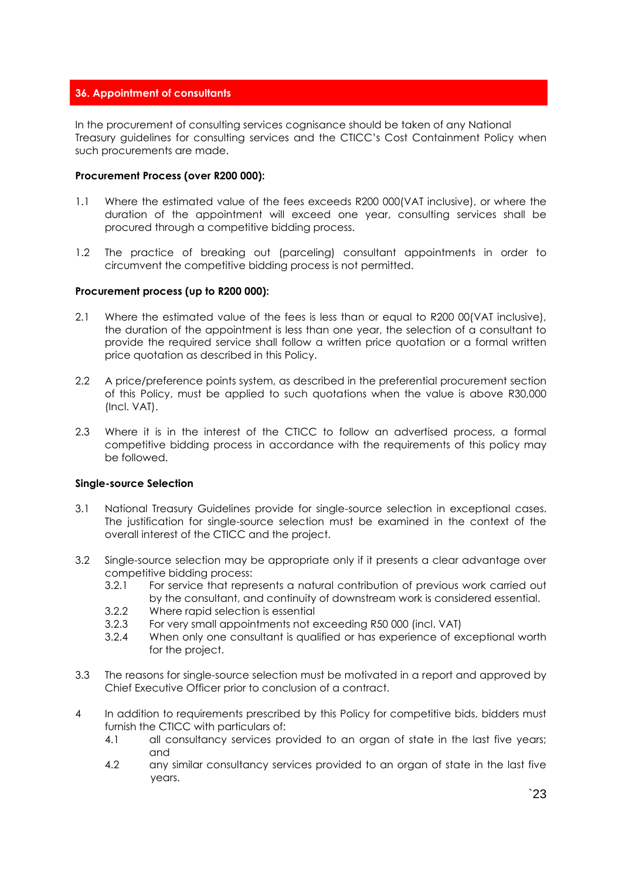## **36. Appointment of consultants**

In the procurement of consulting services cognisance should be taken of any National Treasury guidelines for consulting services and the CTICC's Cost Containment Policy when such procurements are made.

#### **Procurement Process (over R200 000):**

- 1.1 Where the estimated value of the fees exceeds R200 000(VAT inclusive), or where the duration of the appointment will exceed one year, consulting services shall be procured through a competitive bidding process.
- 1.2 The practice of breaking out (parceling) consultant appointments in order to circumvent the competitive bidding process is not permitted.

#### **Procurement process (up to R200 000):**

- 2.1 Where the estimated value of the fees is less than or equal to R200 00(VAT inclusive), the duration of the appointment is less than one year, the selection of a consultant to provide the required service shall follow a written price quotation or a formal written price quotation as described in this Policy.
- 2.2 A price/preference points system, as described in the preferential procurement section of this Policy, must be applied to such quotations when the value is above R30,000 (Incl. VAT).
- 2.3 Where it is in the interest of the CTICC to follow an advertised process, a formal competitive bidding process in accordance with the requirements of this policy may be followed.

#### **Single-source Selection**

- 3.1 National Treasury Guidelines provide for single-source selection in exceptional cases. The justification for single-source selection must be examined in the context of the overall interest of the CTICC and the project.
- 3.2 Single-source selection may be appropriate only if it presents a clear advantage over competitive bidding process:
	- 3.2.1 For service that represents a natural contribution of previous work carried out by the consultant, and continuity of downstream work is considered essential.
	- 3.2.2 Where rapid selection is essential
	- 3.2.3 For very small appointments not exceeding R50 000 (incl. VAT)
	- 3.2.4 When only one consultant is qualified or has experience of exceptional worth for the project.
- 3.3 The reasons for single-source selection must be motivated in a report and approved by Chief Executive Officer prior to conclusion of a contract.
- 4 In addition to requirements prescribed by this Policy for competitive bids, bidders must furnish the CTICC with particulars of:
	- 4.1 all consultancy services provided to an organ of state in the last five years; and
	- 4.2 any similar consultancy services provided to an organ of state in the last five years.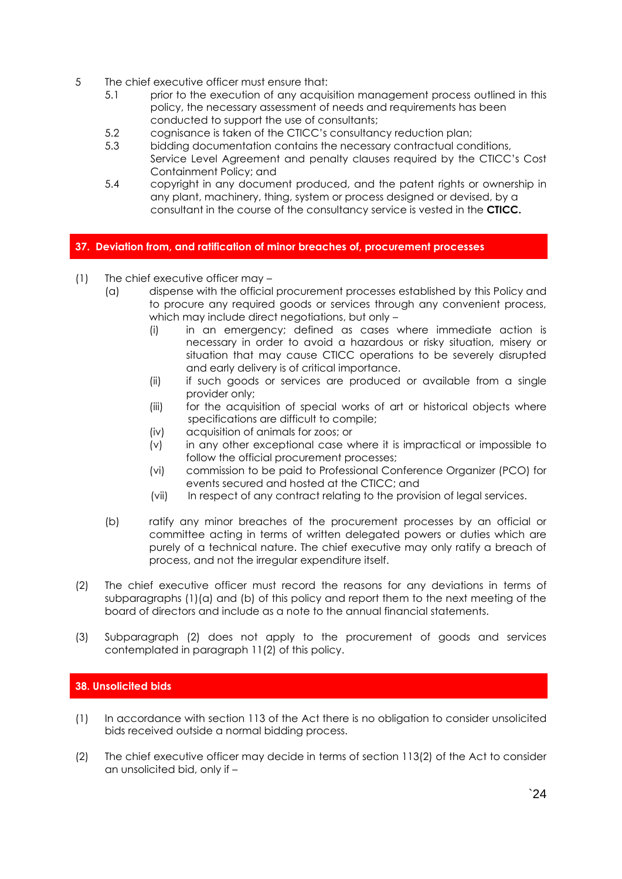- 5 The chief executive officer must ensure that:
	- 5.1 prior to the execution of any acquisition management process outlined in this policy, the necessary assessment of needs and requirements has been conducted to support the use of consultants;
	- 5.2 cognisance is taken of the CTICC's consultancy reduction plan;
	- 5.3 bidding documentation contains the necessary contractual conditions, Service Level Agreement and penalty clauses required by the CTICC's Cost Containment Policy; and
	- 5.4 copyright in any document produced, and the patent rights or ownership in any plant, machinery, thing, system or process designed or devised, by a consultant in the course of the consultancy service is vested in the **CTICC.**

## **37. Deviation from, and ratification of minor breaches of, procurement processes**

- (1) The chief executive officer may
	- (a) dispense with the official procurement processes established by this Policy and to procure any required goods or services through any convenient process, which may include direct negotiations, but only -
		- (i) in an emergency; defined as cases where immediate action is necessary in order to avoid a hazardous or risky situation, misery or situation that may cause CTICC operations to be severely disrupted and early delivery is of critical importance.
		- (ii) if such goods or services are produced or available from a single provider only;
		- (iii) for the acquisition of special works of art or historical objects where specifications are difficult to compile;
		- (iv) acquisition of animals for zoos; or
		- (v) in any other exceptional case where it is impractical or impossible to follow the official procurement processes;
		- (vi) commission to be paid to Professional Conference Organizer (PCO) for events secured and hosted at the CTICC; and
		- (vii) In respect of any contract relating to the provision of legal services.
	- (b) ratify any minor breaches of the procurement processes by an official or committee acting in terms of written delegated powers or duties which are purely of a technical nature. The chief executive may only ratify a breach of process, and not the irregular expenditure itself.
- (2) The chief executive officer must record the reasons for any deviations in terms of subparagraphs (1)(a) and (b) of this policy and report them to the next meeting of the board of directors and include as a note to the annual financial statements.
- (3) Subparagraph (2) does not apply to the procurement of goods and services contemplated in paragraph 11(2) of this policy.

## **38. Unsolicited bids**

- (1) In accordance with section 113 of the Act there is no obligation to consider unsolicited bids received outside a normal bidding process.
- (2) The chief executive officer may decide in terms of section 113(2) of the Act to consider an unsolicited bid, only if –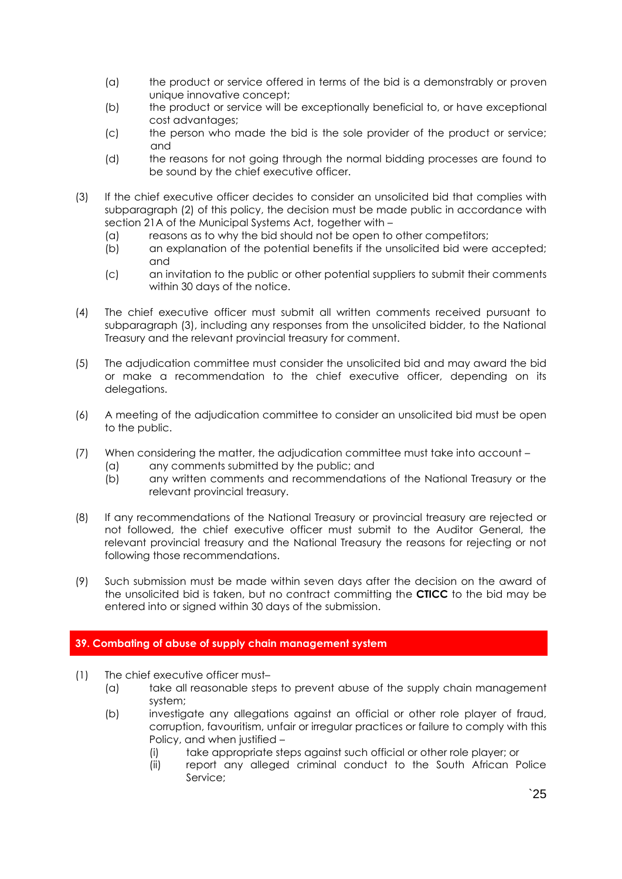- (a) the product or service offered in terms of the bid is a demonstrably or proven unique innovative concept;
- (b) the product or service will be exceptionally beneficial to, or have exceptional cost advantages;
- (c) the person who made the bid is the sole provider of the product or service; and
- (d) the reasons for not going through the normal bidding processes are found to be sound by the chief executive officer.
- (3) If the chief executive officer decides to consider an unsolicited bid that complies with subparagraph (2) of this policy, the decision must be made public in accordance with section 21A of the Municipal Systems Act, together with –
	- (a) reasons as to why the bid should not be open to other competitors;
	- (b) an explanation of the potential benefits if the unsolicited bid were accepted; and
	- (c) an invitation to the public or other potential suppliers to submit their comments within 30 days of the notice.
- (4) The chief executive officer must submit all written comments received pursuant to subparagraph (3), including any responses from the unsolicited bidder, to the National Treasury and the relevant provincial treasury for comment.
- (5) The adjudication committee must consider the unsolicited bid and may award the bid or make a recommendation to the chief executive officer, depending on its delegations.
- (6) A meeting of the adjudication committee to consider an unsolicited bid must be open to the public.
- (7) When considering the matter, the adjudication committee must take into account
	- (a) any comments submitted by the public; and
	- (b) any written comments and recommendations of the National Treasury or the relevant provincial treasury.
- (8) If any recommendations of the National Treasury or provincial treasury are rejected or not followed, the chief executive officer must submit to the Auditor General, the relevant provincial treasury and the National Treasury the reasons for rejecting or not following those recommendations.
- (9) Such submission must be made within seven days after the decision on the award of the unsolicited bid is taken, but no contract committing the **CTICC** to the bid may be entered into or signed within 30 days of the submission.

## **39. Combating of abuse of supply chain management system**

- (1) The chief executive officer must–
	- (a) take all reasonable steps to prevent abuse of the supply chain management system;
	- (b) investigate any allegations against an official or other role player of fraud, corruption, favouritism, unfair or irregular practices or failure to comply with this Policy, and when justified –
		- (i) take appropriate steps against such official or other role player; or
		- (ii) report any alleged criminal conduct to the South African Police Service;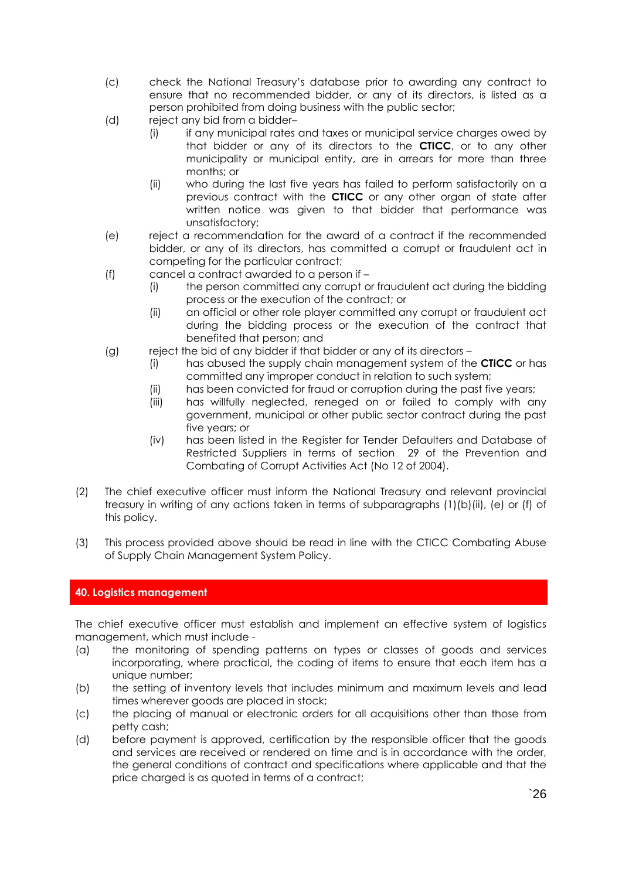- (c) check the National Treasury's database prior to awarding any contract to ensure that no recommended bidder, or any of its directors, is listed as a person prohibited from doing business with the public sector;
- (d) reject any bid from a bidder–
	- (i) if any municipal rates and taxes or municipal service charges owed by that bidder or any of its directors to the **CTICC**, or to any other municipality or municipal entity, are in arrears for more than three months; or
	- (ii) who during the last five years has failed to perform satisfactorily on a previous contract with the **CTICC** or any other organ of state after written notice was given to that bidder that performance was unsatisfactory;
- (e) reject a recommendation for the award of a contract if the recommended bidder, or any of its directors, has committed a corrupt or fraudulent act in competing for the particular contract;
- (f) cancel a contract awarded to a person if
	- (i) the person committed any corrupt or fraudulent act during the bidding process or the execution of the contract; or
	- (ii) an official or other role player committed any corrupt or fraudulent act during the bidding process or the execution of the contract that benefited that person; and
- (g) reject the bid of any bidder if that bidder or any of its directors
	- (i) has abused the supply chain management system of the **CTICC** or has committed any improper conduct in relation to such system;
	- (ii) has been convicted for fraud or corruption during the past five years;
	- (iii) has willfully neglected, reneged on or failed to comply with any government, municipal or other public sector contract during the past five years; or
	- (iv) has been listed in the Register for Tender Defaulters and Database of Restricted Suppliers in terms of section 29 of the Prevention and Combating of Corrupt Activities Act (No 12 of 2004).
- (2) The chief executive officer must inform the National Treasury and relevant provincial treasury in writing of any actions taken in terms of subparagraphs (1)(b)(ii), (e) or (f) of this policy.
- (3) This process provided above should be read in line with the CTICC Combating Abuse of Supply Chain Management System Policy.

## **40. Logistics management**

The chief executive officer must establish and implement an effective system of logistics management, which must include -

- (a) the monitoring of spending patterns on types or classes of goods and services incorporating, where practical, the coding of items to ensure that each item has a unique number;
- (b) the setting of inventory levels that includes minimum and maximum levels and lead times wherever goods are placed in stock;
- (c) the placing of manual or electronic orders for all acquisitions other than those from petty cash;
- (d) before payment is approved, certification by the responsible officer that the goods and services are received or rendered on time and is in accordance with the order, the general conditions of contract and specifications where applicable and that the price charged is as quoted in terms of a contract;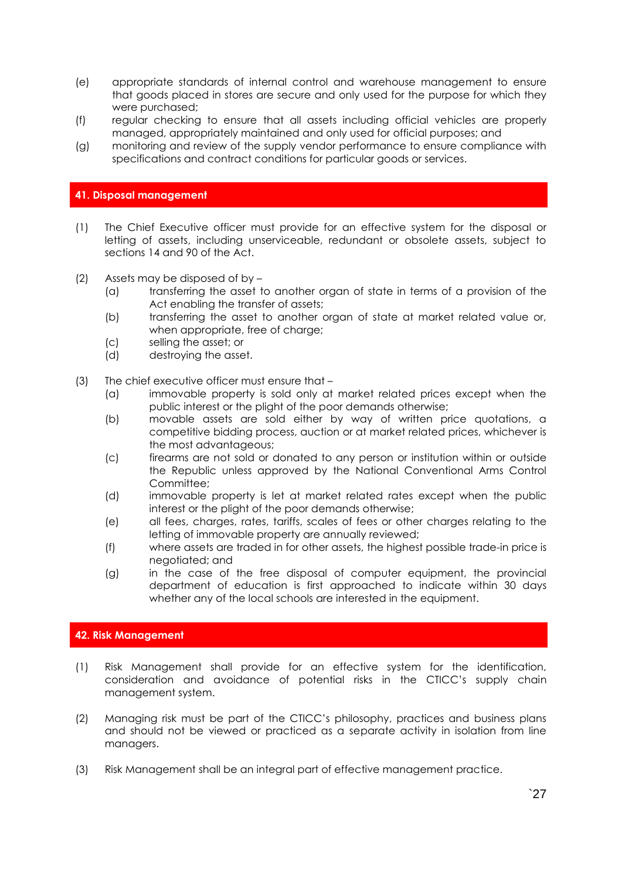- (e) appropriate standards of internal control and warehouse management to ensure that goods placed in stores are secure and only used for the purpose for which they were purchased;
- (f) regular checking to ensure that all assets including official vehicles are properly managed, appropriately maintained and only used for official purposes; and
- (g) monitoring and review of the supply vendor performance to ensure compliance with specifications and contract conditions for particular goods or services.

#### **41. Disposal management**

- (1) The Chief Executive officer must provide for an effective system for the disposal or letting of assets, including unserviceable, redundant or obsolete assets, subject to sections 14 and 90 of the Act.
- (2) Assets may be disposed of by
	- (a) transferring the asset to another organ of state in terms of a provision of the Act enabling the transfer of assets;
	- (b) transferring the asset to another organ of state at market related value or, when appropriate, free of charge;
	- (c) selling the asset; or
	- (d) destroying the asset.
- (3) The chief executive officer must ensure that
	- (a) immovable property is sold only at market related prices except when the public interest or the plight of the poor demands otherwise;
	- (b) movable assets are sold either by way of written price quotations, a competitive bidding process, auction or at market related prices, whichever is the most advantageous;
	- (c) firearms are not sold or donated to any person or institution within or outside the Republic unless approved by the National Conventional Arms Control Committee:
	- (d) immovable property is let at market related rates except when the public interest or the plight of the poor demands otherwise;
	- (e) all fees, charges, rates, tariffs, scales of fees or other charges relating to the letting of immovable property are annually reviewed;
	- (f) where assets are traded in for other assets, the highest possible trade-in price is negotiated; and
	- (g) in the case of the free disposal of computer equipment, the provincial department of education is first approached to indicate within 30 days whether any of the local schools are interested in the equipment.

## **42. Risk Management**

- (1) Risk Management shall provide for an effective system for the identification, consideration and avoidance of potential risks in the CTICC's supply chain management system.
- (2) Managing risk must be part of the CTICC's philosophy, practices and business plans and should not be viewed or practiced as a separate activity in isolation from line managers.
- (3) Risk Management shall be an integral part of effective management practice.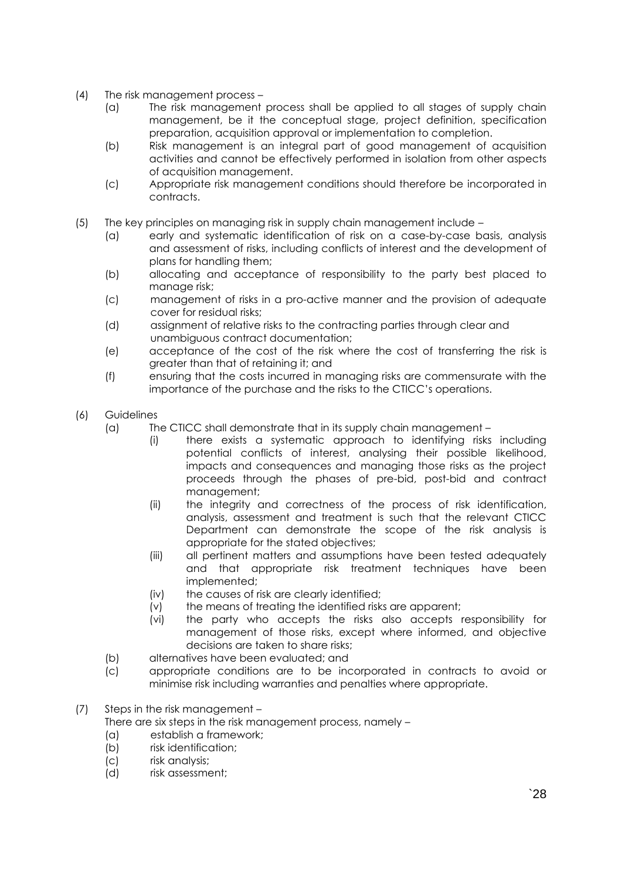- (4) The risk management process
	- (a) The risk management process shall be applied to all stages of supply chain management, be it the conceptual stage, project definition, specification preparation, acquisition approval or implementation to completion.
	- (b) Risk management is an integral part of good management of acquisition activities and cannot be effectively performed in isolation from other aspects of acquisition management.
	- (c) Appropriate risk management conditions should therefore be incorporated in contracts.
- (5) The key principles on managing risk in supply chain management include
	- (a) early and systematic identification of risk on a case-by-case basis, analysis and assessment of risks, including conflicts of interest and the development of plans for handling them;
	- (b) allocating and acceptance of responsibility to the party best placed to manage risk;
	- (c) management of risks in a pro-active manner and the provision of adequate cover for residual risks;
	- (d) assignment of relative risks to the contracting parties through clear and unambiguous contract documentation;
	- (e) acceptance of the cost of the risk where the cost of transferring the risk is greater than that of retaining it; and
	- (f) ensuring that the costs incurred in managing risks are commensurate with the importance of the purchase and the risks to the CTICC's operations.
- (6) Guidelines
	- (a) The CTICC shall demonstrate that in its supply chain management
		- (i) there exists a systematic approach to identifying risks including potential conflicts of interest, analysing their possible likelihood, impacts and consequences and managing those risks as the project proceeds through the phases of pre-bid, post-bid and contract management;
		- (ii) the integrity and correctness of the process of risk identification, analysis, assessment and treatment is such that the relevant CTICC Department can demonstrate the scope of the risk analysis is appropriate for the stated objectives;
		- (iii) all pertinent matters and assumptions have been tested adequately and that appropriate risk treatment techniques have been implemented;
		- (iv) the causes of risk are clearly identified;
		- (v) the means of treating the identified risks are apparent;
		- (vi) the party who accepts the risks also accepts responsibility for management of those risks, except where informed, and objective decisions are taken to share risks;
	- (b) alternatives have been evaluated; and
	- (c) appropriate conditions are to be incorporated in contracts to avoid or minimise risk including warranties and penalties where appropriate.
- (7) Steps in the risk management There are six steps in the risk management process, namely –
	- (a) establish a framework;
	- (b) risk identification;
	- (c) risk analysis;
	- (d) risk assessment;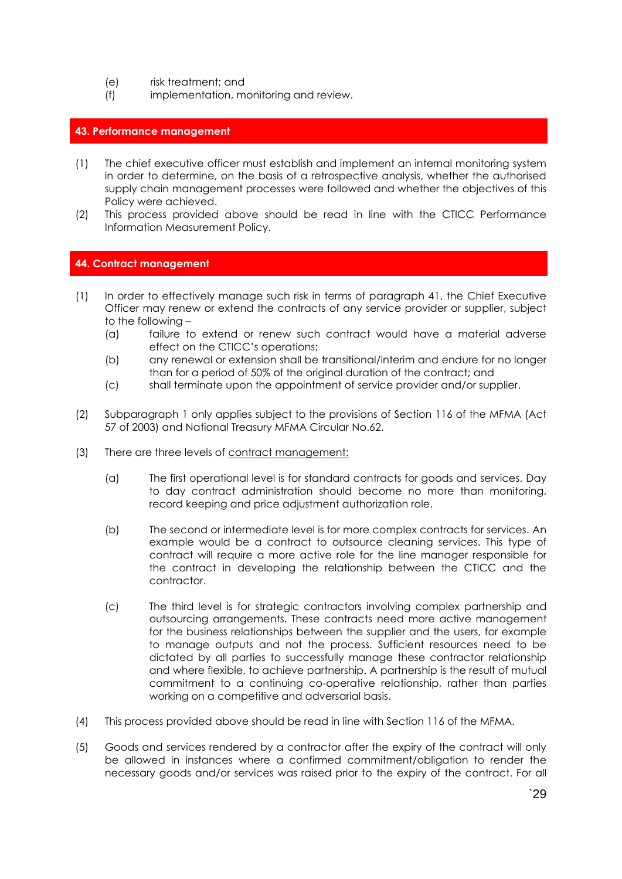- (e) risk treatment; and
- (f) implementation, monitoring and review.

#### **43. Performance management**

- (1) The chief executive officer must establish and implement an internal monitoring system in order to determine, on the basis of a retrospective analysis, whether the authorised supply chain management processes were followed and whether the objectives of this Policy were achieved.
- (2) This process provided above should be read in line with the CTICC Performance Information Measurement Policy.

#### **44. Contract management**

- (1) In order to effectively manage such risk in terms of paragraph 41, the Chief Executive Officer may renew or extend the contracts of any service provider or supplier, subject to the following –
	- (a) failure to extend or renew such contract would have a material adverse effect on the CTICC's operations;
	- (b) any renewal or extension shall be transitional/interim and endure for no longer than for a period of 50% of the original duration of the contract; and
	- (c) shall terminate upon the appointment of service provider and/or supplier.
- (2) Subparagraph 1 only applies subject to the provisions of Section 116 of the MFMA (Act 57 of 2003) and National Treasury MFMA Circular No.62.
- (3) There are three levels of contract management:
	- (a) The first operational level is for standard contracts for goods and services. Day to day contract administration should become no more than monitoring, record keeping and price adjustment authorization role.
	- (b) The second or intermediate level is for more complex contracts for services. An example would be a contract to outsource cleaning services. This type of contract will require a more active role for the line manager responsible for the contract in developing the relationship between the CTICC and the contractor.
	- (c) The third level is for strategic contractors involving complex partnership and outsourcing arrangements. These contracts need more active management for the business relationships between the supplier and the users, for example to manage outputs and not the process. Sufficient resources need to be dictated by all parties to successfully manage these contractor relationship and where flexible, to achieve partnership. A partnership is the result of mutual commitment to a continuing co-operative relationship, rather than parties working on a competitive and adversarial basis.
- (4) This process provided above should be read in line with Section 116 of the MFMA.
- (5) Goods and services rendered by a contractor after the expiry of the contract will only be allowed in instances where a confirmed commitment/obligation to render the necessary goods and/or services was raised prior to the expiry of the contract. For all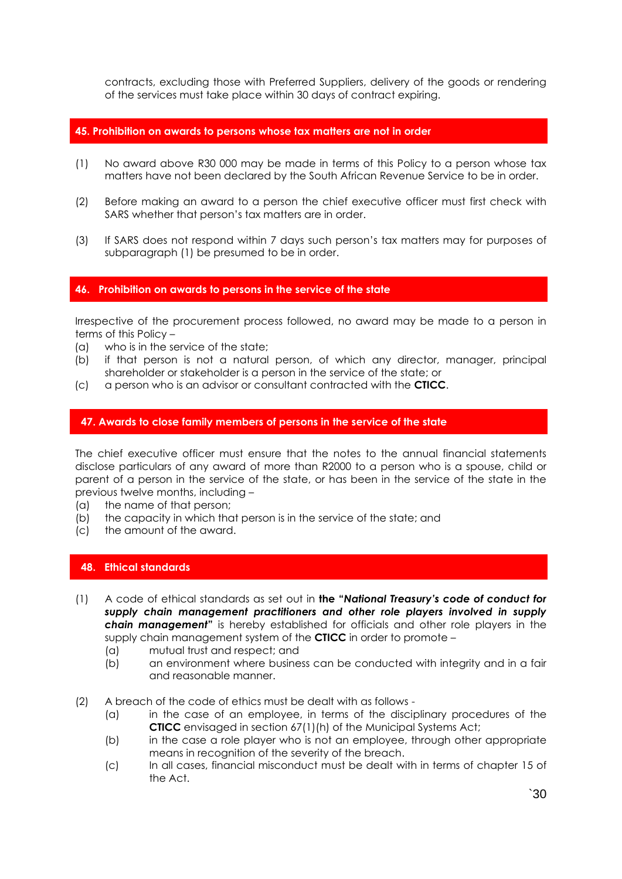contracts, excluding those with Preferred Suppliers, delivery of the goods or rendering of the services must take place within 30 days of contract expiring.

#### **45. Prohibition on awards to persons whose tax matters are not in order**

- (1) No award above R30 000 may be made in terms of this Policy to a person whose tax matters have not been declared by the South African Revenue Service to be in order.
- (2) Before making an award to a person the chief executive officer must first check with SARS whether that person's tax matters are in order.
- (3) If SARS does not respond within 7 days such person's tax matters may for purposes of subparagraph (1) be presumed to be in order.

#### **46. Prohibition on awards to persons in the service of the state**

Irrespective of the procurement process followed, no award may be made to a person in terms of this Policy –

- (a) who is in the service of the state;
- (b) if that person is not a natural person, of which any director, manager, principal shareholder or stakeholder is a person in the service of the state; or
- (c) a person who is an advisor or consultant contracted with the **CTICC**.

#### **47. Awards to close family members of persons in the service of the state**

The chief executive officer must ensure that the notes to the annual financial statements disclose particulars of any award of more than R2000 to a person who is a spouse, child or parent of a person in the service of the state, or has been in the service of the state in the previous twelve months, including –

- (a) the name of that person;
- (b) the capacity in which that person is in the service of the state; and
- (c) the amount of the award.

#### **48. Ethical standards**

- (1) A code of ethical standards as set out in **the "***National Treasury's code of conduct for supply chain management practitioners and other role players involved in supply chain management***"** is hereby established for officials and other role players in the supply chain management system of the **CTICC** in order to promote –
	- (a) mutual trust and respect; and
	- (b) an environment where business can be conducted with integrity and in a fair and reasonable manner.
- (2) A breach of the code of ethics must be dealt with as follows
	- (a) in the case of an employee, in terms of the disciplinary procedures of the **CTICC** envisaged in section 67(1)(h) of the Municipal Systems Act;
	- (b) in the case a role player who is not an employee, through other appropriate means in recognition of the severity of the breach.
	- (c) In all cases, financial misconduct must be dealt with in terms of chapter 15 of the Act.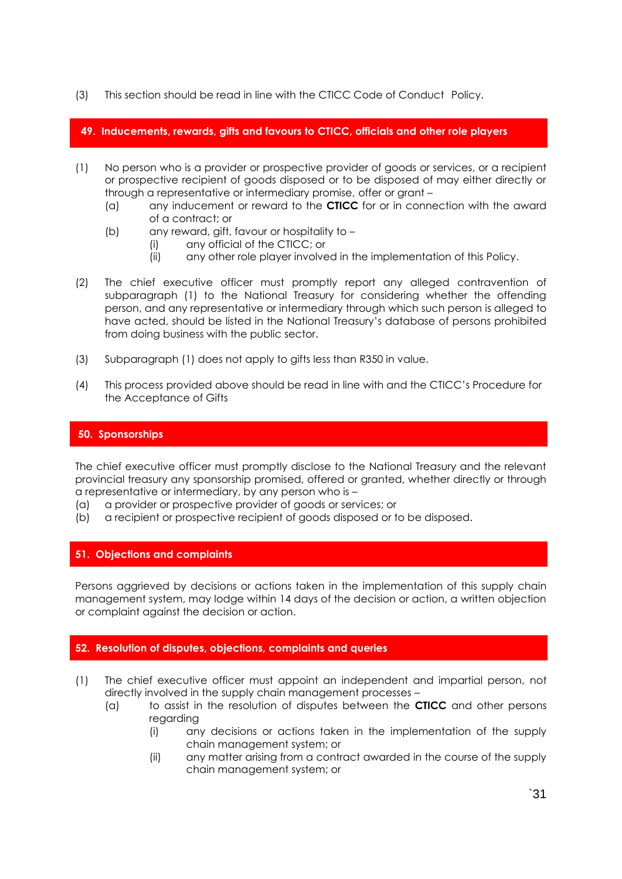(3) This section should be read in line with the CTICC Code of Conduct Policy.

 **49. Inducements, rewards, gifts and favours to CTICC, officials and other role players**

- (1) No person who is a provider or prospective provider of goods or services, or a recipient or prospective recipient of goods disposed or to be disposed of may either directly or through a representative or intermediary promise, offer or grant –
	- (a) any inducement or reward to the **CTICC** for or in connection with the award of a contract; or
	- (b) any reward, gift, favour or hospitality to
		- (i) any official of the CTICC; or
		- (ii) any other role player involved in the implementation of this Policy.
- (2) The chief executive officer must promptly report any alleged contravention of subparagraph (1) to the National Treasury for considering whether the offending person, and any representative or intermediary through which such person is alleged to have acted, should be listed in the National Treasury's database of persons prohibited from doing business with the public sector.
- (3) Subparagraph (1) does not apply to gifts less than R350 in value.
- (4) This process provided above should be read in line with and the CTICC's Procedure for the Acceptance of Gifts

#### **50. Sponsorships**

The chief executive officer must promptly disclose to the National Treasury and the relevant provincial treasury any sponsorship promised, offered or granted, whether directly or through a representative or intermediary, by any person who is –

- (a) a provider or prospective provider of goods or services; or
- (b) a recipient or prospective recipient of goods disposed or to be disposed.

## **51. Objections and complaints**

Persons aggrieved by decisions or actions taken in the implementation of this supply chain management system, may lodge within 14 days of the decision or action, a written objection or complaint against the decision or action.

## **52. Resolution of disputes, objections, complaints and queries**

- (1) The chief executive officer must appoint an independent and impartial person, not directly involved in the supply chain management processes –
	- (a) to assist in the resolution of disputes between the **CTICC** and other persons regarding
		- (i) any decisions or actions taken in the implementation of the supply chain management system; or
		- (ii) any matter arising from a contract awarded in the course of the supply chain management system; or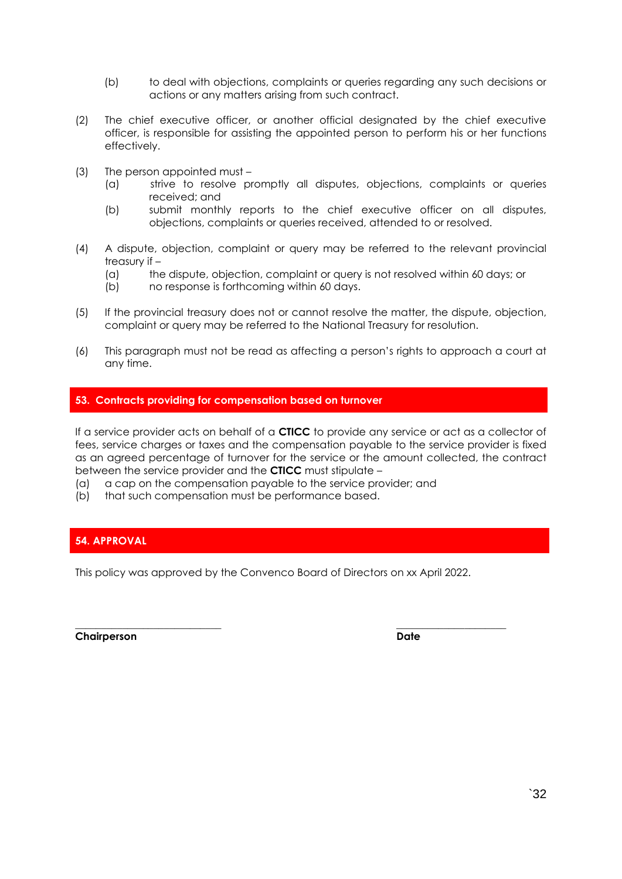- (b) to deal with objections, complaints or queries regarding any such decisions or actions or any matters arising from such contract.
- (2) The chief executive officer, or another official designated by the chief executive officer, is responsible for assisting the appointed person to perform his or her functions effectively.
- (3) The person appointed must
	- (a) strive to resolve promptly all disputes, objections, complaints or queries received; and
	- (b) submit monthly reports to the chief executive officer on all disputes, objections, complaints or queries received, attended to or resolved.
- (4) A dispute, objection, complaint or query may be referred to the relevant provincial treasury if –
	- (a) the dispute, objection, complaint or query is not resolved within 60 days; or
	- (b) no response is forthcoming within 60 days.
- (5) If the provincial treasury does not or cannot resolve the matter, the dispute, objection, complaint or query may be referred to the National Treasury for resolution.
- (6) This paragraph must not be read as affecting a person's rights to approach a court at any time.

## **53. Contracts providing for compensation based on turnover**

If a service provider acts on behalf of a **CTICC** to provide any service or act as a collector of fees, service charges or taxes and the compensation payable to the service provider is fixed as an agreed percentage of turnover for the service or the amount collected, the contract between the service provider and the **CTICC** must stipulate –

(a) a cap on the compensation payable to the service provider; and

(b) that such compensation must be performance based.

## **54. APPROVAL**

This policy was approved by the Convenco Board of Directors on xx April 2022.

**\_\_\_\_\_\_\_\_\_\_\_\_\_\_\_\_\_\_\_\_\_\_\_\_\_\_\_\_ \_\_\_\_\_\_\_\_\_\_\_\_\_\_\_\_\_\_\_\_\_**

**Chairperson Date**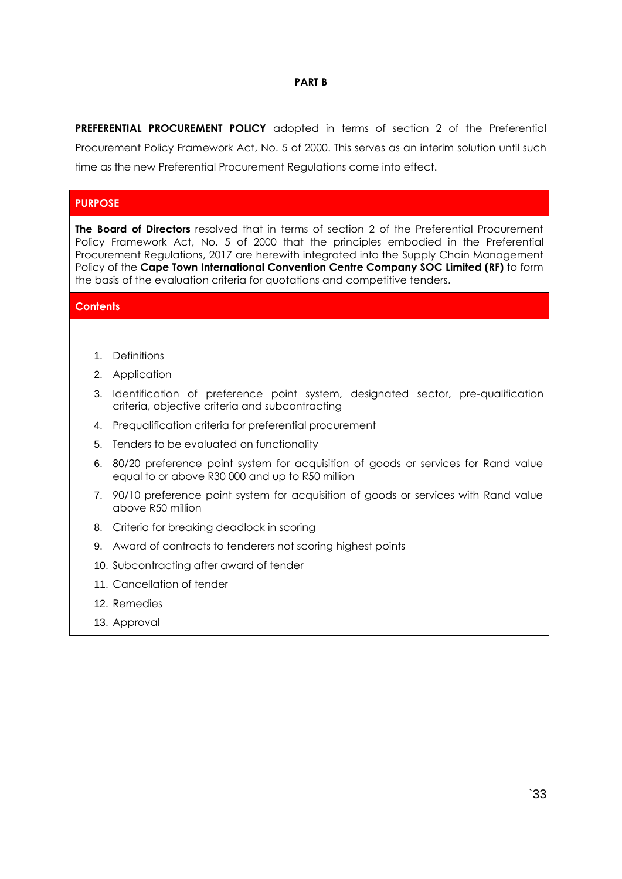#### **PART B**

**PREFERENTIAL PROCUREMENT POLICY** adopted in terms of section 2 of the Preferential Procurement Policy Framework Act, No. 5 of 2000. This serves as an interim solution until such time as the new Preferential Procurement Regulations come into effect.

## **PURPOSE**

**The Board of Directors** resolved that in terms of section 2 of the Preferential Procurement Policy Framework Act, No. 5 of 2000 that the principles embodied in the Preferential Procurement Regulations, 2017 are herewith integrated into the Supply Chain Management Policy of the **Cape Town International Convention Centre Company SOC Limited (RF)** to form the basis of the evaluation criteria for quotations and competitive tenders.

#### **Contents**

- 1. Definitions
- 2. Application
- 3. Identification of preference point system, designated sector, pre-qualification criteria, objective criteria and subcontracting
- 4. Prequalification criteria for preferential procurement
- 5. Tenders to be evaluated on functionality
- 6. 80/20 preference point system for acquisition of goods or services for Rand value equal to or above R30 000 and up to R50 million
- 7. 90/10 preference point system for acquisition of goods or services with Rand value above R50 million
- 8. Criteria for breaking deadlock in scoring
- 9. Award of contracts to tenderers not scoring highest points
- 10. Subcontracting after award of tender
- 11. Cancellation of tender
- 12. Remedies
- 13. Approval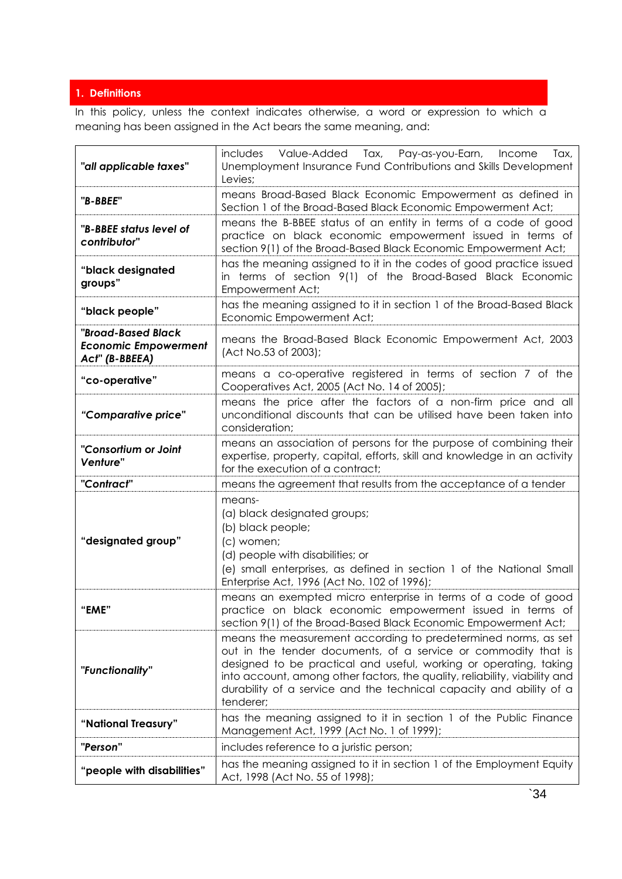## **1. Definitions**

In this policy, unless the context indicates otherwise, a word or expression to which a meaning has been assigned in the Act bears the same meaning, and:

| "all applicable taxes"                                              | includes<br>Value-Added Tax, Pay-as-you-Earn,<br>Income<br>Tax,<br>Unemployment Insurance Fund Contributions and Skills Development<br>Levies;                                                                                                                                                                                                                          |
|---------------------------------------------------------------------|-------------------------------------------------------------------------------------------------------------------------------------------------------------------------------------------------------------------------------------------------------------------------------------------------------------------------------------------------------------------------|
| "B-BBEE"                                                            | means Broad-Based Black Economic Empowerment as defined in<br>Section 1 of the Broad-Based Black Economic Empowerment Act;                                                                                                                                                                                                                                              |
| "B-BBEE status level of<br>contributor"                             | means the B-BBEE status of an entity in terms of a code of good<br>practice on black economic empowerment issued in terms of<br>section 9(1) of the Broad-Based Black Economic Empowerment Act;                                                                                                                                                                         |
| "black designated<br>groups"                                        | has the meaning assigned to it in the codes of good practice issued<br>in terms of section 9(1) of the Broad-Based Black Economic<br><b>Empowerment Act;</b>                                                                                                                                                                                                            |
| "black people"                                                      | has the meaning assigned to it in section 1 of the Broad-Based Black<br>Economic Empowerment Act;                                                                                                                                                                                                                                                                       |
| "Broad-Based Black<br><b>Economic Empowerment</b><br>Act" (B-BBEEA) | means the Broad-Based Black Economic Empowerment Act, 2003<br>(Act No.53 of 2003);                                                                                                                                                                                                                                                                                      |
| "co-operative"                                                      | means a co-operative registered in terms of section 7 of the<br>Cooperatives Act, 2005 (Act No. 14 of 2005);                                                                                                                                                                                                                                                            |
| "Comparative price"                                                 | means the price after the factors of a non-firm price and all<br>unconditional discounts that can be utilised have been taken into<br>consideration;                                                                                                                                                                                                                    |
| "Consortium or Joint<br>Venture"                                    | means an association of persons for the purpose of combining their<br>expertise, property, capital, efforts, skill and knowledge in an activity<br>for the execution of a contract;                                                                                                                                                                                     |
| "Contract"                                                          | means the agreement that results from the acceptance of a tender                                                                                                                                                                                                                                                                                                        |
| "designated group"                                                  | means-<br>(a) black designated groups;<br>(b) black people;<br>(c) women;<br>(d) people with disabilities; or<br>(e) small enterprises, as defined in section 1 of the National Small<br>Enterprise Act, 1996 (Act No. 102 of 1996);                                                                                                                                    |
| "EME"                                                               | means an exempted micro enterprise in terms of a code of good<br>practice on black economic empowerment issued in terms of<br>section 9(1) of the Broad-Based Black Economic Empowerment Act;                                                                                                                                                                           |
| "Functionality"                                                     | means the measurement according to predetermined norms, as set<br>out in the tender documents, of a service or commodity that is<br>designed to be practical and useful, working or operating, taking<br>into account, among other factors, the quality, reliability, viability and<br>durability of a service and the technical capacity and ability of a<br>tenderer; |
| "National Treasury"                                                 | has the meaning assigned to it in section 1 of the Public Finance<br>Management Act, 1999 (Act No. 1 of 1999);                                                                                                                                                                                                                                                          |
| "Person"                                                            | includes reference to a juristic person;                                                                                                                                                                                                                                                                                                                                |
| "people with disabilities"                                          | has the meaning assigned to it in section 1 of the Employment Equity<br>Act, 1998 (Act No. 55 of 1998);                                                                                                                                                                                                                                                                 |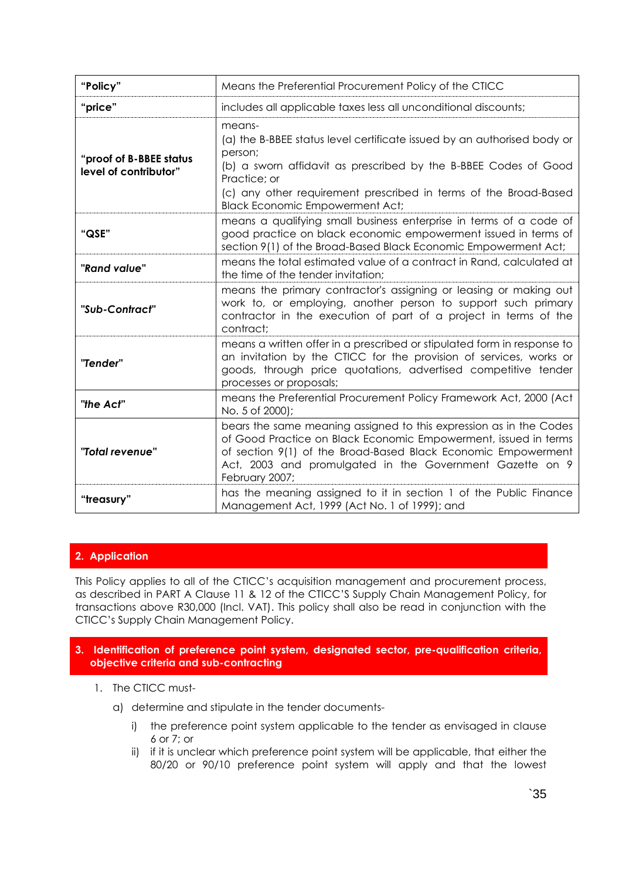| "Policy"                                         | Means the Preferential Procurement Policy of the CTICC                                                                                                                                                                                                                                        |
|--------------------------------------------------|-----------------------------------------------------------------------------------------------------------------------------------------------------------------------------------------------------------------------------------------------------------------------------------------------|
| "price"                                          | includes all applicable taxes less all unconditional discounts;                                                                                                                                                                                                                               |
| "proof of B-BBEE status<br>level of contributor" | means-<br>(a) the B-BBEE status level certificate issued by an authorised body or<br>person;<br>(b) a sworn affidavit as prescribed by the B-BBEE Codes of Good<br>Practice; or<br>(c) any other requirement prescribed in terms of the Broad-Based<br><b>Black Economic Empowerment Act;</b> |
| "QSE"                                            | means a qualifying small business enterprise in terms of a code of<br>good practice on black economic empowerment issued in terms of<br>section 9(1) of the Broad-Based Black Economic Empowerment Act;                                                                                       |
| "Rand value"                                     | means the total estimated value of a contract in Rand, calculated at<br>the time of the tender invitation;                                                                                                                                                                                    |
| "Sub-Contract"                                   | means the primary contractor's assigning or leasing or making out<br>work to, or employing, another person to support such primary<br>contractor in the execution of part of a project in terms of the<br>contract;                                                                           |
| "Tender"                                         | means a written offer in a prescribed or stipulated form in response to<br>an invitation by the CTICC for the provision of services, works or<br>goods, through price quotations, advertised competitive tender<br>processes or proposals;                                                    |
| "the Act"                                        | means the Preferential Procurement Policy Framework Act, 2000 (Act<br>No. 5 of 2000);                                                                                                                                                                                                         |
| "Total revenue"                                  | bears the same meaning assigned to this expression as in the Codes<br>of Good Practice on Black Economic Empowerment, issued in terms<br>of section 9(1) of the Broad-Based Black Economic Empowerment<br>Act, 2003 and promulgated in the Government Gazette on 9<br>February 2007;          |
| "treasury"                                       | has the meaning assigned to it in section 1 of the Public Finance<br>Management Act, 1999 (Act No. 1 of 1999); and                                                                                                                                                                            |

## **2. Application**

This Policy applies to all of the CTICC's acquisition management and procurement process, as described in PART A Clause 11 & 12 of the CTICC'S Supply Chain Management Policy, for transactions above R30,000 (Incl. VAT). This policy shall also be read in conjunction with the CTICC's Supply Chain Management Policy.

## **3. Identification of preference point system, designated sector, pre-qualification criteria, objective criteria and sub-contracting**

- 1. The CTICC must
	- a) determine and stipulate in the tender documents
		- i) the preference point system applicable to the tender as envisaged in clause 6 or 7; or
		- ii) if it is unclear which preference point system will be applicable, that either the 80/20 or 90/10 preference point system will apply and that the lowest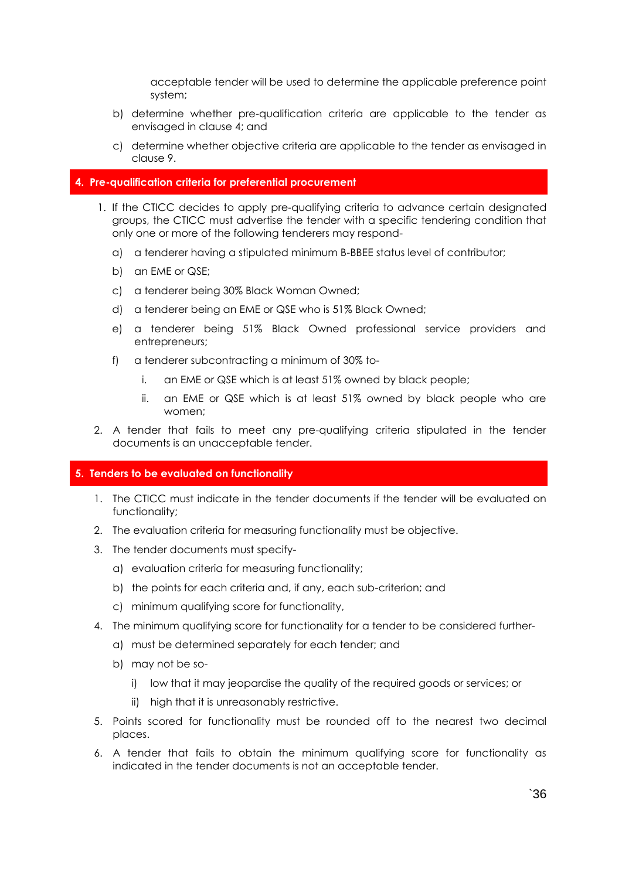acceptable tender will be used to determine the applicable preference point system;

- b) determine whether pre-qualification criteria are applicable to the tender as envisaged in clause 4; and
- c) determine whether objective criteria are applicable to the tender as envisaged in clause 9.

#### **4. Pre-qualification criteria for preferential procurement**

- 1. If the CTICC decides to apply pre-qualifying criteria to advance certain designated groups, the CTICC must advertise the tender with a specific tendering condition that only one or more of the following tenderers may respond
	- a) a tenderer having a stipulated minimum B-BBEE status level of contributor;
	- b) an EME or QSE;
	- c) a tenderer being 30% Black Woman Owned;
	- d) a tenderer being an EME or QSE who is 51% Black Owned;
	- e) a tenderer being 51% Black Owned professional service providers and entrepreneurs;
	- f) a tenderer subcontracting a minimum of 30% to
		- i. an EME or QSE which is at least 51% owned by black people;
		- ii. an EME or QSE which is at least 51% owned by black people who are women;
- 2. A tender that fails to meet any pre-qualifying criteria stipulated in the tender documents is an unacceptable tender.

#### **5. Tenders to be evaluated on functionality**

- 1. The CTICC must indicate in the tender documents if the tender will be evaluated on functionality;
- 2. The evaluation criteria for measuring functionality must be objective.
- 3. The tender documents must specify
	- a) evaluation criteria for measuring functionality;
	- b) the points for each criteria and, if any, each sub-criterion; and
	- c) minimum qualifying score for functionality,
- 4. The minimum qualifying score for functionality for a tender to be considered further
	- a) must be determined separately for each tender; and
	- b) may not be so
		- i) low that it may jeopardise the quality of the required goods or services; or
		- ii) high that it is unreasonably restrictive.
- 5. Points scored for functionality must be rounded off to the nearest two decimal places.
- 6. A tender that fails to obtain the minimum qualifying score for functionality as indicated in the tender documents is not an acceptable tender.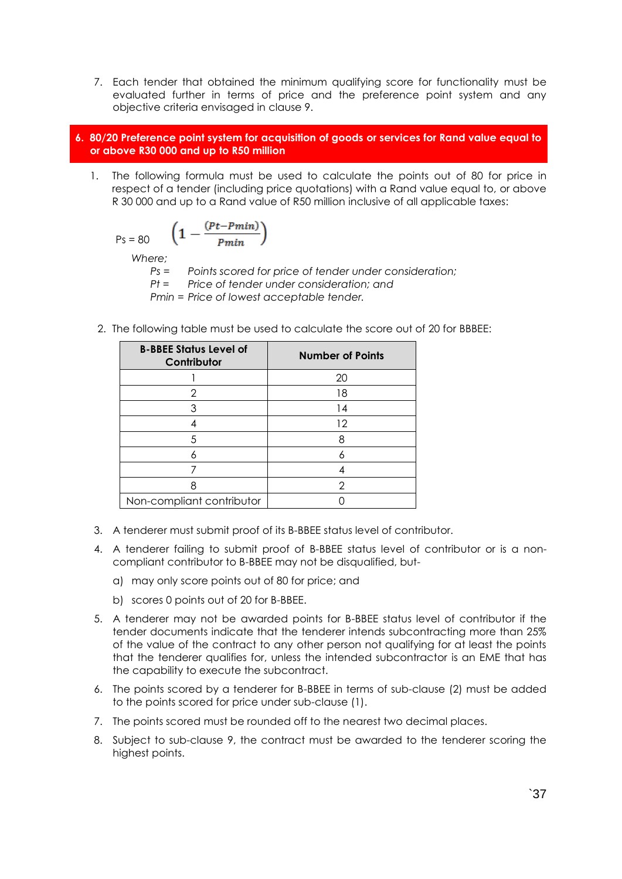7. Each tender that obtained the minimum qualifying score for functionality must be evaluated further in terms of price and the preference point system and any objective criteria envisaged in clause 9.

## **6. 80/20 Preference point system for acquisition of goods or services for Rand value equal to or above R30 000 and up to R50 million**

1. The following formula must be used to calculate the points out of 80 for price in respect of a tender (including price quotations) with a Rand value equal to, or above R 30 000 and up to a Rand value of R50 million inclusive of all applicable taxes:

$$
P_S = 80 \qquad \left(1 - \frac{(Pt-Pmin)}{Pmin}\right)
$$

*Where;*

*Ps = Points scored for price of tender under consideration;*

*Pt = Price of tender under consideration; and*

*Pmin = Price of lowest acceptable tender.*

2. The following table must be used to calculate the score out of 20 for BBBEE:

| <b>B-BBEE Status Level of</b><br>Contributor | <b>Number of Points</b> |
|----------------------------------------------|-------------------------|
|                                              | 20                      |
| 2                                            | 18                      |
| 3                                            | 14                      |
|                                              | 12                      |
| 5                                            | 8                       |
| 6                                            |                         |
|                                              |                         |
|                                              | 2                       |
| Non-compliant contributor                    |                         |

- 3. A tenderer must submit proof of its B-BBEE status level of contributor.
- 4. A tenderer failing to submit proof of B-BBEE status level of contributor or is a noncompliant contributor to B-BBEE may not be disqualified, but
	- a) may only score points out of 80 for price; and
	- b) scores 0 points out of 20 for B-BBEE.
- 5. A tenderer may not be awarded points for B-BBEE status level of contributor if the tender documents indicate that the tenderer intends subcontracting more than 25% of the value of the contract to any other person not qualifying for at least the points that the tenderer qualifies for, unless the intended subcontractor is an EME that has the capability to execute the subcontract.
- 6. The points scored by a tenderer for B-BBEE in terms of sub-clause (2) must be added to the points scored for price under sub-clause (1).
- 7. The points scored must be rounded off to the nearest two decimal places.
- 8. Subject to sub-clause 9, the contract must be awarded to the tenderer scoring the highest points.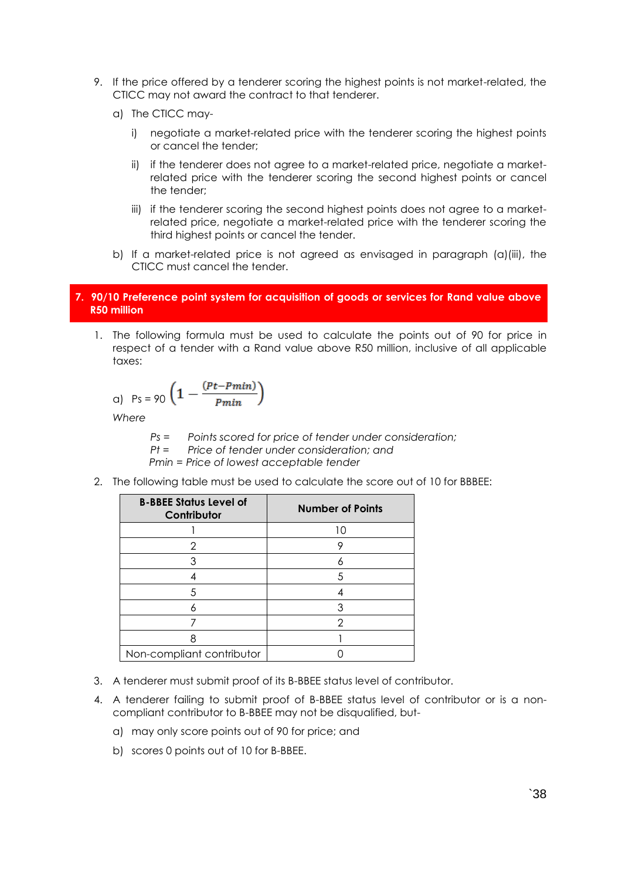- 9. If the price offered by a tenderer scoring the highest points is not market-related, the CTICC may not award the contract to that tenderer.
	- a) The CTICC may
		- i) negotiate a market-related price with the tenderer scoring the highest points or cancel the tender;
		- ii) if the tenderer does not agree to a market-related price, negotiate a marketrelated price with the tenderer scoring the second highest points or cancel the tender;
		- iii) if the tenderer scoring the second highest points does not agree to a marketrelated price, negotiate a market-related price with the tenderer scoring the third highest points or cancel the tender.
	- b) If a market-related price is not agreed as envisaged in paragraph (a)(iii), the CTICC must cancel the tender.

#### **7. 90/10 Preference point system for acquisition of goods or services for Rand value above R50 million**

1. The following formula must be used to calculate the points out of 90 for price in respect of a tender with a Rand value above R50 million, inclusive of all applicable taxes:

$$
P_S = 90 \left( 1 - \frac{(Pt-Pmin)}{Pmin} \right)
$$

*Where*

*Ps = Points scored for price of tender under consideration;*

*Pt = Price of tender under consideration; and*

*Pmin = Price of lowest acceptable tender*

2. The following table must be used to calculate the score out of 10 for BBBEE:

| <b>B-BBEE Status Level of</b><br>Contributor | <b>Number of Points</b> |
|----------------------------------------------|-------------------------|
|                                              | 10                      |
|                                              |                         |
| 3                                            | n                       |
|                                              | 5                       |
| 5                                            |                         |
| 6                                            | 3                       |
|                                              | 2                       |
|                                              |                         |
| Non-compliant contributor                    |                         |

- 3. A tenderer must submit proof of its B-BBEE status level of contributor.
- 4. A tenderer failing to submit proof of B-BBEE status level of contributor or is a noncompliant contributor to B-BBEE may not be disqualified, but
	- a) may only score points out of 90 for price; and
	- b) scores 0 points out of 10 for B-BBEE.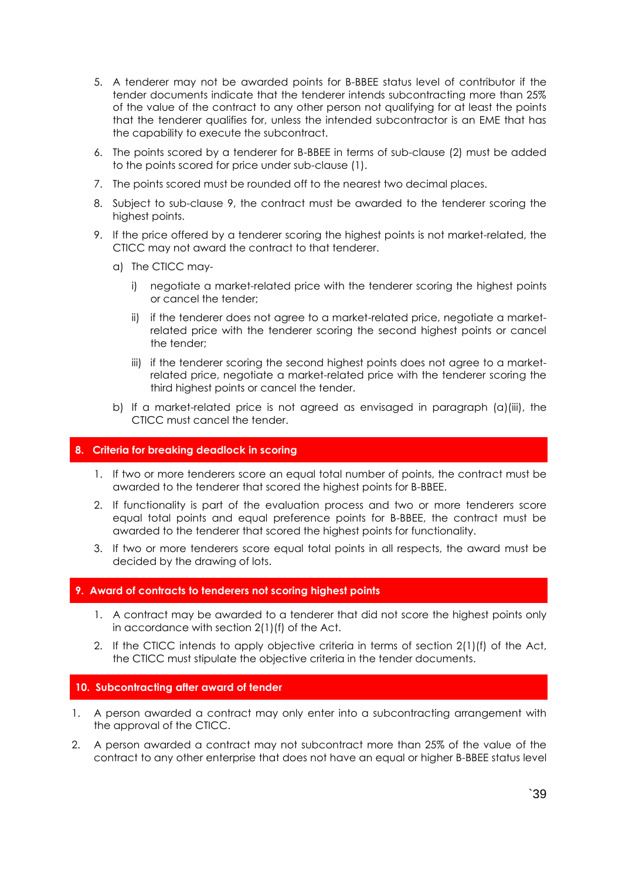- 5. A tenderer may not be awarded points for B-BBEE status level of contributor if the tender documents indicate that the tenderer intends subcontracting more than 25% of the value of the contract to any other person not qualifying for at least the points that the tenderer qualifies for, unless the intended subcontractor is an EME that has the capability to execute the subcontract.
- 6. The points scored by a tenderer for B-BBEE in terms of sub-clause (2) must be added to the points scored for price under sub-clause (1).
- 7. The points scored must be rounded off to the nearest two decimal places.
- 8. Subject to sub-clause 9, the contract must be awarded to the tenderer scoring the highest points.
- 9. If the price offered by a tenderer scoring the highest points is not market-related, the CTICC may not award the contract to that tenderer.
	- a) The CTICC may
		- i) negotiate a market-related price with the tenderer scoring the highest points or cancel the tender;
		- ii) if the tenderer does not agree to a market-related price, negotiate a marketrelated price with the tenderer scoring the second highest points or cancel the tender;
		- iii) if the tenderer scoring the second highest points does not agree to a marketrelated price, negotiate a market-related price with the tenderer scoring the third highest points or cancel the tender.
	- b) If a market-related price is not agreed as envisaged in paragraph (a)(iii), the CTICC must cancel the tender.

## **8. Criteria for breaking deadlock in scoring**

- 1. If two or more tenderers score an equal total number of points, the contract must be awarded to the tenderer that scored the highest points for B-BBEE.
- 2. If functionality is part of the evaluation process and two or more tenderers score equal total points and equal preference points for B-BBEE, the contract must be awarded to the tenderer that scored the highest points for functionality.
- 3. If two or more tenderers score equal total points in all respects, the award must be decided by the drawing of lots.

## **9. Award of contracts to tenderers not scoring highest points**

- 1. A contract may be awarded to a tenderer that did not score the highest points only in accordance with section 2(1)(f) of the Act.
- 2. If the CTICC intends to apply objective criteria in terms of section 2(1)(f) of the Act, the CTICC must stipulate the objective criteria in the tender documents.

## **10. Subcontracting after award of tender**

- 1. A person awarded a contract may only enter into a subcontracting arrangement with the approval of the CTICC.
- 2. A person awarded a contract may not subcontract more than 25% of the value of the contract to any other enterprise that does not have an equal or higher B-BBEE status level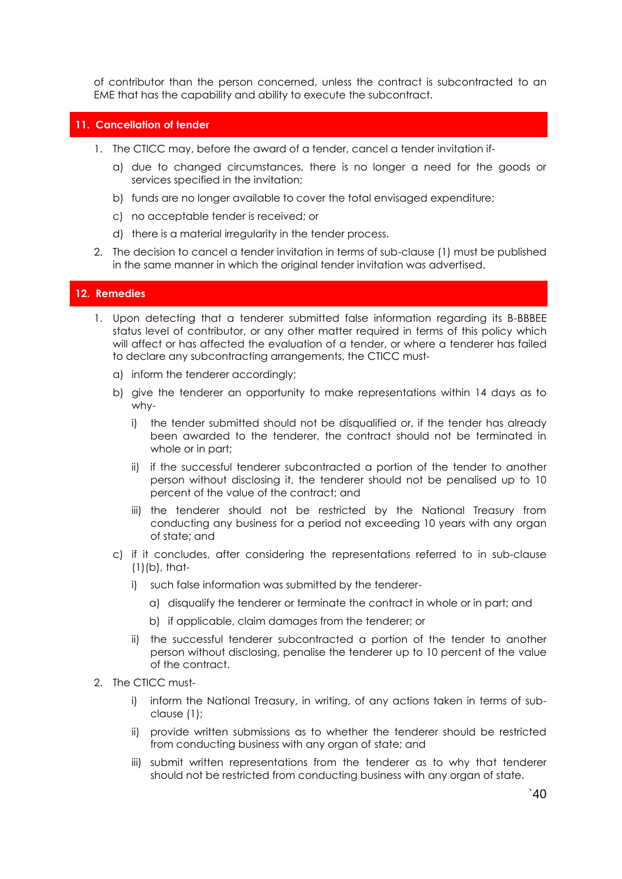of contributor than the person concerned, unless the contract is subcontracted to an EME that has the capability and ability to execute the subcontract.

#### **11. Cancellation of tender**

- 1. The CTICC may, before the award of a tender, cancel a tender invitation if
	- a) due to changed circumstances, there is no longer a need for the goods or services specified in the invitation;
	- b) funds are no longer available to cover the total envisaged expenditure;
	- c) no acceptable tender is received; or
	- d) there is a material irregularity in the tender process.
- 2. The decision to cancel a tender invitation in terms of sub-clause (1) must be published in the same manner in which the original tender invitation was advertised.

## **12. Remedies**

- 1. Upon detecting that a tenderer submitted false information regarding its B-BBBEE status level of contributor, or any other matter required in terms of this policy which will affect or has affected the evaluation of a tender, or where a tenderer has failed to declare any subcontracting arrangements, the CTICC must
	- a) inform the tenderer accordingly;
	- b) give the tenderer an opportunity to make representations within 14 days as to why
		- i) the tender submitted should not be disqualified or, if the tender has already been awarded to the tenderer, the contract should not be terminated in whole or in part;
		- ii) if the successful tenderer subcontracted a portion of the tender to another person without disclosing it, the tenderer should not be penalised up to 10 percent of the value of the contract; and
		- iii) the tenderer should not be restricted by the National Treasury from conducting any business for a period not exceeding 10 years with any organ of state; and
	- c) if it concludes, after considering the representations referred to in sub-clause (1)(b), that
		- i) such false information was submitted by the tenderer
			- a) disqualify the tenderer or terminate the contract in whole or in part; and
			- b) if applicable, claim damages from the tenderer; or
		- ii) the successful tenderer subcontracted a portion of the tender to another person without disclosing, penalise the tenderer up to 10 percent of the value of the contract.
- 2. The CTICC must
	- i) inform the National Treasury, in writing, of any actions taken in terms of subclause (1);
	- ii) provide written submissions as to whether the tenderer should be restricted from conducting business with any organ of state; and
	- iii) submit written representations from the tenderer as to why that tenderer should not be restricted from conducting business with any organ of state.